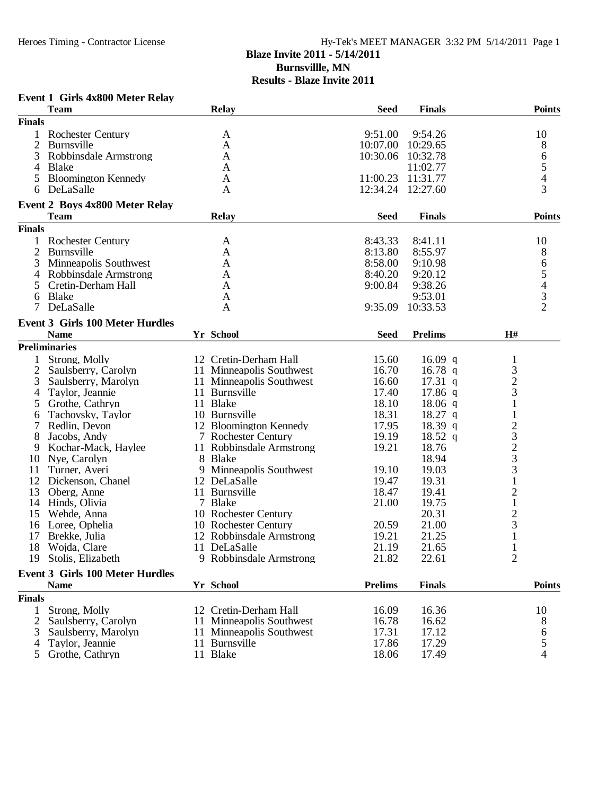# Hy-Tek's MEET MANAGER 3:32 PM 5/14/2011 Page 1 **Blaze Invite 2011 - 5/14/2011 Burnsvillle, MN Results - Blaze Invite 2011**

# **Event 1 Girls 4x800 Meter Relay**

|                | <b>Team</b>                            | <b>Relay</b>             | <b>Seed</b>    | <b>Finals</b>  | <b>Points</b>                                         |  |
|----------------|----------------------------------------|--------------------------|----------------|----------------|-------------------------------------------------------|--|
| <b>Finals</b>  |                                        |                          |                |                |                                                       |  |
| 1              | <b>Rochester Century</b>               | A                        | 9:51.00        | 9:54.26        | 10                                                    |  |
| $\overline{2}$ | Burnsville                             | A                        | 10:07.00       | 10:29.65       | 8                                                     |  |
| 3              | Robbinsdale Armstrong                  | A                        | 10:30.06       | 10:32.78       | 6                                                     |  |
| 4              | <b>Blake</b>                           | A                        |                | 11:02.77       | 5                                                     |  |
| 5              | <b>Bloomington Kennedy</b>             | A                        | 11:00.23       | 11:31.77       | $\overline{4}$                                        |  |
| 6              | DeLaSalle                              | A                        | 12:34.24       | 12:27.60       | 3                                                     |  |
|                |                                        |                          |                |                |                                                       |  |
|                | <b>Event 2 Boys 4x800 Meter Relay</b>  |                          |                |                |                                                       |  |
|                | <b>Team</b>                            | <b>Relay</b>             | <b>Seed</b>    | <b>Finals</b>  | <b>Points</b>                                         |  |
| <b>Finals</b>  |                                        |                          |                |                |                                                       |  |
| 1              | <b>Rochester Century</b>               | A                        | 8:43.33        | 8:41.11        | 10                                                    |  |
| $\overline{2}$ | <b>Burnsville</b>                      | A                        | 8:13.80        | 8:55.97        | 8                                                     |  |
| 3              | Minneapolis Southwest                  | A                        | 8:58.00        | 9:10.98        | 6                                                     |  |
| 4              | Robbinsdale Armstrong                  | A                        | 8:40.20        | 9:20.12        |                                                       |  |
| 5              | Cretin-Derham Hall                     | A                        | 9:00.84        | 9:38.26        |                                                       |  |
| 6              | <b>Blake</b>                           | A                        |                | 9:53.01        | $\begin{array}{c} 5 \\ 4 \\ 3 \\ 2 \end{array}$       |  |
| 7              | DeLaSalle                              | A                        | 9:35.09        | 10:33.53       |                                                       |  |
|                | <b>Event 3 Girls 100 Meter Hurdles</b> |                          |                |                |                                                       |  |
|                |                                        | Yr School                |                | <b>Prelims</b> | H#                                                    |  |
|                | <b>Name</b>                            |                          | <b>Seed</b>    |                |                                                       |  |
|                | <b>Preliminaries</b>                   |                          |                |                |                                                       |  |
|                | Strong, Molly                          | 12 Cretin-Derham Hall    | 15.60          | $16.09$ q      | $\mathbf{1}$                                          |  |
| $\overline{2}$ | Saulsberry, Carolyn                    | 11 Minneapolis Southwest | 16.70          | 16.78 $q$      | $\mathfrak{Z}$                                        |  |
| 3              | Saulsberry, Marolyn                    | 11 Minneapolis Southwest | 16.60          | $17.31$ q      | $\overline{c}$                                        |  |
| 4              | Taylor, Jeannie                        | 11 Burnsville            | 17.40          | $17.86$ q      | 3                                                     |  |
| 5              | Grothe, Cathryn                        | 11 Blake                 | 18.10          | $18.06$ q      |                                                       |  |
| 6              | Tachovsky, Taylor                      | 10 Burnsville            | 18.31          | $18.27$ q      | $\mathbf{1}$                                          |  |
| 7              | Redlin, Devon                          | 12 Bloomington Kennedy   | 17.95          | 18.39 q        |                                                       |  |
| 8              | Jacobs, Andy                           | 7 Rochester Century      | 19.19          | $18.52$ q      |                                                       |  |
| 9              | Kochar-Mack, Haylee                    | 11 Robbinsdale Armstrong | 19.21          | 18.76          | $2\overline{3}$<br>$2\overline{3}$<br>$3\overline{1}$ |  |
| 10             | Nye, Carolyn                           | 8 Blake                  |                | 18.94          |                                                       |  |
| 11             | Turner, Averi                          | 9 Minneapolis Southwest  | 19.10          | 19.03          |                                                       |  |
| 12             | Dickenson, Chanel                      | 12 DeLaSalle             | 19.47          | 19.31          |                                                       |  |
| 13             | Oberg, Anne                            | 11 Burnsville            | 18.47          | 19.41          | $\overline{c}$                                        |  |
| 14             | Hinds, Olivia                          | 7 Blake                  | 21.00          | 19.75          | $\mathbf 1$                                           |  |
| 15             | Wehde, Anna                            | 10 Rochester Century     |                | 20.31          | $\overline{c}$                                        |  |
|                | 16 Loree, Ophelia                      | 10 Rochester Century     | 20.59          | 21.00          | 3                                                     |  |
| 17             | Brekke, Julia                          | 12 Robbinsdale Armstrong | 19.21          | 21.25          |                                                       |  |
| 18             | Wojda, Clare                           | 11 DeLaSalle             | 21.19          | 21.65          |                                                       |  |
|                | 19 Stolis, Elizabeth                   | 9 Robbinsdale Armstrong  | 21.82          | 22.61          | $\overline{c}$                                        |  |
|                | <b>Event 3 Girls 100 Meter Hurdles</b> |                          |                |                |                                                       |  |
|                |                                        |                          | <b>Prelims</b> |                |                                                       |  |
|                | <b>Name</b>                            | Yr School                |                | <b>Finals</b>  | <b>Points</b>                                         |  |
| <b>Finals</b>  |                                        |                          |                |                |                                                       |  |
| 1              | Strong, Molly                          | 12 Cretin-Derham Hall    | 16.09          | 16.36          | 10                                                    |  |
| 2              | Saulsberry, Carolyn                    | 11 Minneapolis Southwest | 16.78          | 16.62          | 8                                                     |  |
| 3              | Saulsberry, Marolyn                    | 11 Minneapolis Southwest | 17.31          | 17.12          | 6                                                     |  |
| 4              | Taylor, Jeannie                        | 11 Burnsville            | 17.86          | 17.29          | 5                                                     |  |
| 5              | Grothe, Cathryn                        | 11 Blake                 | 18.06          | 17.49          | 4                                                     |  |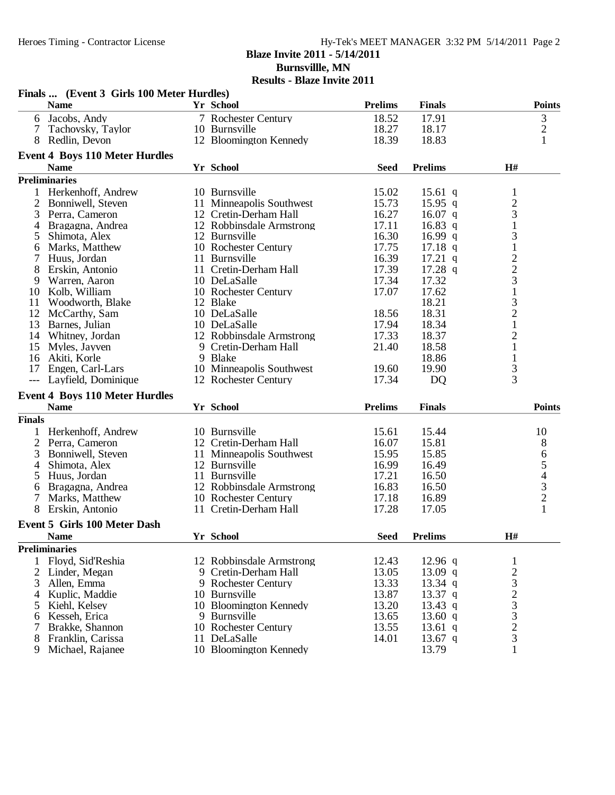**Finals ... (Event 3 Girls 100 Meter Hurdles)**

# Heroes Timing - Contractor License Hy-Tek's MEET MANAGER 3:32 PM 5/14/2011 Page 2 **Blaze Invite 2011 - 5/14/2011 Burnsvillle, MN**

|                | <b>Name</b>                           |    | Yr School                | <b>Prelims</b> | <b>Finals</b>  |                                                 | <b>Points</b>                  |
|----------------|---------------------------------------|----|--------------------------|----------------|----------------|-------------------------------------------------|--------------------------------|
| 6              | Jacobs, Andy                          |    | 7 Rochester Century      | 18.52          | 17.91          |                                                 | $\ensuremath{\mathfrak{Z}}$    |
| 7              | Tachovsky, Taylor                     |    | 10 Burnsville            | 18.27          | 18.17          |                                                 | $\sqrt{2}$                     |
| 8              | Redlin, Devon                         |    | 12 Bloomington Kennedy   | 18.39          | 18.83          |                                                 | $\mathbf{1}$                   |
|                | <b>Event 4 Boys 110 Meter Hurdles</b> |    |                          |                |                |                                                 |                                |
|                | <b>Name</b>                           |    | <b>Yr School</b>         | <b>Seed</b>    | <b>Prelims</b> | H#                                              |                                |
|                | <b>Preliminaries</b>                  |    |                          |                |                |                                                 |                                |
| 1              | Herkenhoff, Andrew                    |    | 10 Burnsville            | 15.02          | 15.61 q        | 1                                               |                                |
| 2              | Bonniwell, Steven                     |    | 11 Minneapolis Southwest | 15.73          | $15.95$ q      | $\overline{c}$                                  |                                |
| 3              | Perra, Cameron                        |    | 12 Cretin-Derham Hall    | 16.27          | 16.07 $q$      | 3                                               |                                |
| 4              | Bragagna, Andrea                      |    | 12 Robbinsdale Armstrong | 17.11          | 16.83 $q$      | $\mathbf{1}$                                    |                                |
| 5              | Shimota, Alex                         |    | 12 Burnsville            | 16.30          | 16.99 $q$      | 3                                               |                                |
| 6              | Marks, Matthew                        |    | 10 Rochester Century     | 17.75          | $17.18$ q      | $\mathbf 1$                                     |                                |
|                | Huus, Jordan                          |    | 11 Burnsville            | 16.39          | $17.21$ q      |                                                 |                                |
| 8              | Erskin, Antonio                       |    | 11 Cretin-Derham Hall    | 17.39          | $17.28$ q      | $\frac{2}{3}$                                   |                                |
| 9              | Warren, Aaron                         |    | 10 DeLaSalle             | 17.34          | 17.32          |                                                 |                                |
| 10             | Kolb, William                         |    | 10 Rochester Century     | 17.07          | 17.62          |                                                 |                                |
| 11             | Woodworth, Blake                      |    | 12 Blake                 |                | 18.21          | $\begin{array}{c} 1 \\ 3 \\ 2 \\ 1 \end{array}$ |                                |
| 12             | McCarthy, Sam                         |    | 10 DeLaSalle             | 18.56          | 18.31          |                                                 |                                |
| 13             | Barnes, Julian                        |    | 10 DeLaSalle             | 17.94          | 18.34          |                                                 |                                |
| 14             | Whitney, Jordan                       |    | 12 Robbinsdale Armstrong | 17.33          | 18.37          | $\overline{c}$                                  |                                |
| 15             | Myles, Jayven                         |    | 9 Cretin-Derham Hall     | 21.40          | 18.58          | $\mathbf{1}$                                    |                                |
| 16             | Akiti, Korle                          |    | 9 Blake                  |                | 18.86          | $\mathbf 1$                                     |                                |
| 17             | Engen, Carl-Lars                      |    | 10 Minneapolis Southwest | 19.60          | 19.90          | 3                                               |                                |
| $---$          | Layfield, Dominique                   |    | 12 Rochester Century     | 17.34          | <b>DQ</b>      | $\overline{3}$                                  |                                |
|                | <b>Event 4 Boys 110 Meter Hurdles</b> |    |                          |                |                |                                                 |                                |
|                | <b>Name</b>                           |    | Yr School                | <b>Prelims</b> | <b>Finals</b>  |                                                 | <b>Points</b>                  |
| <b>Finals</b>  |                                       |    |                          |                |                |                                                 |                                |
|                | Herkenhoff, Andrew                    |    | 10 Burnsville            | 15.61          | 15.44          |                                                 | 10                             |
| $\overline{2}$ | Perra, Cameron                        |    | 12 Cretin-Derham Hall    | 16.07          | 15.81          |                                                 | 8                              |
| 3              | Bonniwell, Steven                     | 11 | Minneapolis Southwest    | 15.95          | 15.85          |                                                 | 6                              |
| 4              | Shimota, Alex                         |    | 12 Burnsville            | 16.99          | 16.49          |                                                 |                                |
| 5              | Huus, Jordan                          |    | 11 Burnsville            | 17.21          | 16.50          |                                                 |                                |
| 6              | Bragagna, Andrea                      |    | 12 Robbinsdale Armstrong | 16.83          | 16.50          |                                                 | $\frac{5}{4}$<br>$\frac{3}{2}$ |
| 7              | Marks, Matthew                        |    | 10 Rochester Century     | 17.18          | 16.89          |                                                 |                                |
| 8              | Erskin, Antonio                       |    | 11 Cretin-Derham Hall    | 17.28          | 17.05          |                                                 | $\mathbf{1}$                   |
|                | <b>Event 5 Girls 100 Meter Dash</b>   |    |                          |                |                |                                                 |                                |
|                | <b>Name</b>                           |    | Yr School                | <b>Seed</b>    | <b>Prelims</b> | H#                                              |                                |
|                | <b>Preliminaries</b>                  |    |                          |                |                |                                                 |                                |
| 1              | Floyd, Sid'Reshia                     |    | 12 Robbinsdale Armstrong | 12.43          | 12.96 $q$      | 1                                               |                                |
|                | 2 Linder, Megan                       |    | 9 Cretin-Derham Hall     | 13.05          | 13.09 $q$      | $\overline{c}$                                  |                                |
| 3              | Allen, Emma                           |    | 9 Rochester Century      | 13.33          | 13.34 $q$      | 3                                               |                                |
| 4              | Kuplic, Maddie                        |    | 10 Burnsville            | 13.87          | 13.37 q        | $\overline{c}$                                  |                                |
| 5              | Kiehl, Kelsey                         |    | 10 Bloomington Kennedy   | 13.20          | 13.43 q        |                                                 |                                |
| 6              | Kesseh, Erica                         |    | 9 Burnsville             | 13.65          | 13.60 $q$      | $\frac{3}{3}$                                   |                                |
| 7              | Brakke, Shannon                       |    | 10 Rochester Century     | 13.55          | 13.61 q        | $\overline{c}$                                  |                                |
| 8              | Franklin, Carissa                     |    | 11 DeLaSalle             | 14.01          | 13.67 $q$      | 3                                               |                                |
| 9              | Michael, Rajanee                      |    | 10 Bloomington Kennedy   |                | 13.79          | 1                                               |                                |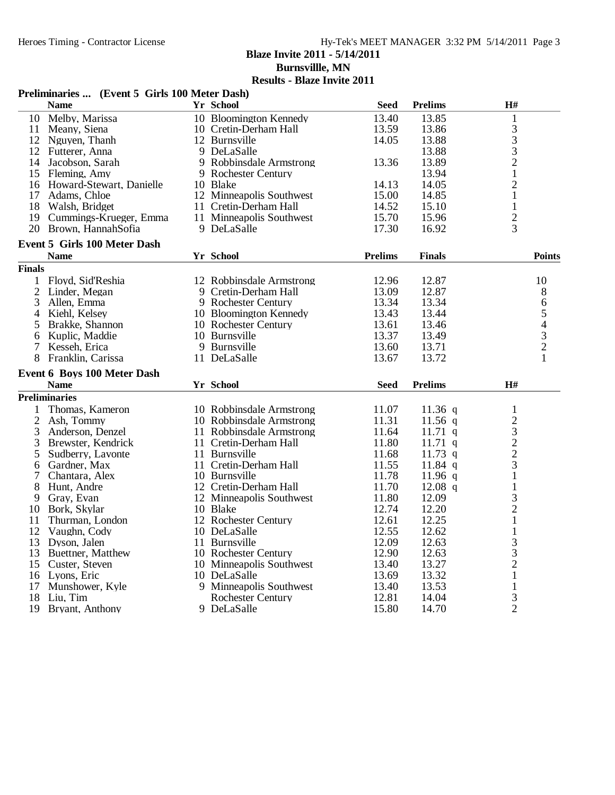**Burnsvillle, MN**

|                | Preliminaries  (Event 5 Girls 100 Meter Dash) |    |                          |                |                |                                                 |
|----------------|-----------------------------------------------|----|--------------------------|----------------|----------------|-------------------------------------------------|
|                | <b>Name</b>                                   |    | Yr School                | <b>Seed</b>    | <b>Prelims</b> | H#                                              |
|                | 10 Melby, Marissa                             |    | 10 Bloomington Kennedy   | 13.40          | 13.85          | $\mathbf{1}$                                    |
| 11             | Meany, Siena                                  |    | 10 Cretin-Derham Hall    | 13.59          | 13.86          |                                                 |
| 12             | Nguyen, Thanh                                 |    | 12 Burnsville            | 14.05          | 13.88          | $\begin{array}{c} 3 \\ 3 \\ 2 \\ 1 \end{array}$ |
|                | 12 Futterer, Anna                             |    | 9 DeLaSalle              |                | 13.88          |                                                 |
| 14             | Jacobson, Sarah                               |    | 9 Robbinsdale Armstrong  | 13.36          | 13.89          |                                                 |
|                | 15 Fleming, Amy                               |    | 9 Rochester Century      |                | 13.94          |                                                 |
| 16             | Howard-Stewart, Danielle                      |    | 10 Blake                 | 14.13          | 14.05          | $\overline{2}$                                  |
| 17             | Adams, Chloe                                  |    | 12 Minneapolis Southwest | 15.00          | 14.85          | $\mathbf{1}$                                    |
| 18             | Walsh, Bridget                                |    | 11 Cretin-Derham Hall    | 14.52          | 15.10          | $\mathbf{1}$                                    |
|                | 19 Cummings-Krueger, Emma                     |    | 11 Minneapolis Southwest | 15.70          | 15.96          | $\overline{c}$                                  |
| 20             | Brown, HannahSofia                            |    | 9 DeLaSalle              | 17.30          | 16.92          | 3                                               |
|                | <b>Event 5 Girls 100 Meter Dash</b>           |    |                          |                |                |                                                 |
|                | <b>Name</b>                                   |    | Yr School                | <b>Prelims</b> | <b>Finals</b>  | <b>Points</b>                                   |
| <b>Finals</b>  |                                               |    |                          |                |                |                                                 |
|                | 1 Floyd, Sid'Reshia                           |    | 12 Robbinsdale Armstrong | 12.96          | 12.87          | 10                                              |
| $\overline{c}$ | Linder, Megan                                 |    | 9 Cretin-Derham Hall     | 13.09          | 12.87          | 8                                               |
| 3              | Allen, Emma                                   |    | 9 Rochester Century      | 13.34          | 13.34          | 6                                               |
| 4              | Kiehl, Kelsey                                 |    | 10 Bloomington Kennedy   | 13.43          | 13.44          |                                                 |
| 5              | Brakke, Shannon                               |    | 10 Rochester Century     | 13.61          | 13.46          |                                                 |
| 6              | Kuplic, Maddie                                |    | 10 Burnsville            | 13.37          | 13.49          | $\begin{array}{c} 5 \\ 4 \\ 3 \\ 2 \end{array}$ |
| 7              | Kesseh, Erica                                 |    | 9 Burnsville             | 13.60          | 13.71          |                                                 |
| 8              | Franklin, Carissa                             |    | 11 DeLaSalle             | 13.67          | 13.72          | $\mathbf{1}$                                    |
|                | <b>Event 6 Boys 100 Meter Dash</b>            |    |                          |                |                |                                                 |
|                | <b>Name</b>                                   |    | Yr School                | <b>Seed</b>    | <b>Prelims</b> | H#                                              |
|                | <b>Preliminaries</b>                          |    |                          |                |                |                                                 |
|                | Thomas, Kameron                               |    | 10 Robbinsdale Armstrong | 11.07          | 11.36 q        | $\mathbf{1}$                                    |
| 2              | Ash, Tommy                                    |    | 10 Robbinsdale Armstrong | 11.31          | $11.56$ q      |                                                 |
| 3              | Anderson, Denzel                              |    | 11 Robbinsdale Armstrong | 11.64          | 11.71 $q$      | $\begin{array}{c}\n23 \\ 22 \\ 3\n\end{array}$  |
| 3              | Brewster, Kendrick                            |    | 11 Cretin-Derham Hall    | 11.80          | $11.71$ q      |                                                 |
| 5              | Sudberry, Lavonte                             |    | 11 Burnsville            | 11.68          | $11.73$ q      |                                                 |
| 6              | Gardner, Max                                  | 11 | Cretin-Derham Hall       | 11.55          | 11.84 $q$      |                                                 |
|                | Chantara, Alex                                |    | 10 Burnsville            | 11.78          | 11.96 q        | $\mathbf{1}$                                    |
| 8              | Hunt, Andre                                   |    | 12 Cretin-Derham Hall    | 11.70          | $12.08$ q      | $\,1$                                           |
| 9              | Gray, Evan                                    |    | 12 Minneapolis Southwest | 11.80          | 12.09          |                                                 |
| 10             | Bork, Skylar                                  |    | 10 Blake                 | 12.74          | 12.20          | $\frac{3}{2}$                                   |
| 11             | Thurman, London                               |    | 12 Rochester Century     | 12.61          | 12.25          | $\mathbf{1}$                                    |
| 12             | Vaughn, Cody                                  |    | 10 DeLaSalle             | 12.55          | 12.62          | 1                                               |
|                | 13 Dyson, Jalen                               |    | 11 Burnsville            | 12.09          | 12.63          | 3                                               |
| 13             | Buettner, Matthew                             |    | 10 Rochester Century     | 12.90          | 12.63          | 3                                               |
| 15             | Custer, Steven                                |    | 10 Minneapolis Southwest | 13.40          | 13.27          | $\overline{2}$                                  |
| 16             | Lyons, Eric                                   |    | 10 DeLaSalle             | 13.69          | 13.32          | $\mathbf{1}$                                    |
| 17             | Munshower, Kyle                               |    | 9 Minneapolis Southwest  | 13.40          | 13.53          | $\mathbf{1}$                                    |
| 18             | Liu, Tim                                      |    | <b>Rochester Century</b> | 12.81          | 14.04          | 3                                               |
| 19             | Bryant, Anthony                               |    | 9 DeLaSalle              | 15.80          | 14.70          | $\overline{2}$                                  |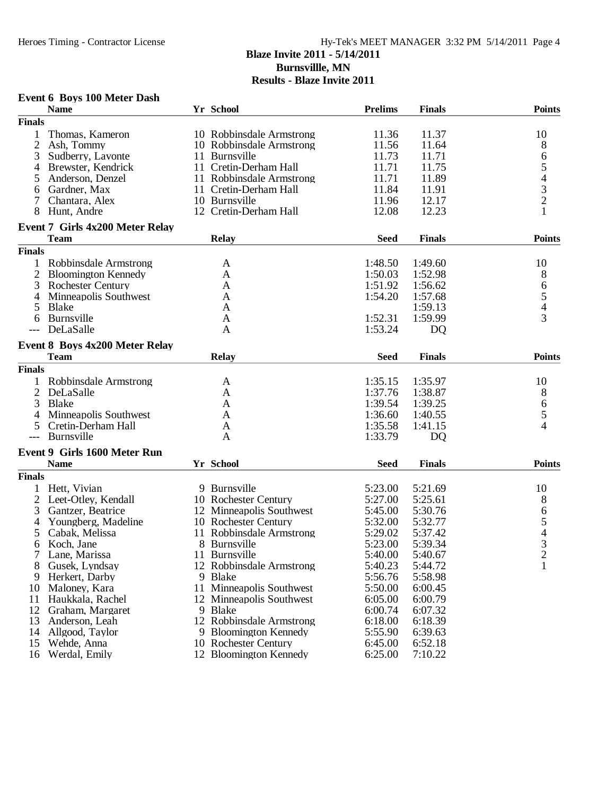### **Blaze Invite 2011 - 5/14/2011 Burnsvillle, MN Results - Blaze Invite 2011**

## **Event 6 Boys 100 Meter Dash**

|                | <b>Name</b>                           | Yr School                | <b>Prelims</b> | <b>Finals</b> | <b>Points</b>                         |
|----------------|---------------------------------------|--------------------------|----------------|---------------|---------------------------------------|
| <b>Finals</b>  |                                       |                          |                |               |                                       |
|                | Thomas, Kameron                       | 10 Robbinsdale Armstrong | 11.36          | 11.37         | 10                                    |
| $\overline{2}$ | Ash, Tommy                            | 10 Robbinsdale Armstrong | 11.56          | 11.64         | 8                                     |
| 3              | Sudberry, Lavonte                     | 11 Burnsville            | 11.73          | 11.71         | 6                                     |
| 4              | Brewster, Kendrick                    | 11 Cretin-Derham Hall    | 11.71          | 11.75         |                                       |
| 5              | Anderson, Denzel                      | 11 Robbinsdale Armstrong | 11.71          | 11.89         | 54321                                 |
| 6              | Gardner, Max                          | 11 Cretin-Derham Hall    | 11.84          | 11.91         |                                       |
|                | Chantara, Alex                        | 10 Burnsville            | 11.96          | 12.17         |                                       |
| 8              | Hunt, Andre                           | 12 Cretin-Derham Hall    | 12.08          | 12.23         |                                       |
|                | Event 7 Girls 4x200 Meter Relay       |                          |                |               |                                       |
|                | <b>Team</b>                           | <b>Relay</b>             | <b>Seed</b>    | <b>Finals</b> | <b>Points</b>                         |
| <b>Finals</b>  |                                       |                          |                |               |                                       |
| 1              | Robbinsdale Armstrong                 | A                        | 1:48.50        | 1:49.60       | 10                                    |
| $\overline{2}$ | <b>Bloomington Kennedy</b>            | A                        | 1:50.03        | 1:52.98       | 8                                     |
| 3              | <b>Rochester Century</b>              | A                        | 1:51.92        | 1:56.62       | 6                                     |
| 4              | Minneapolis Southwest                 | A                        | 1:54.20        | 1:57.68       |                                       |
| 5              | <b>Blake</b>                          | A                        |                | 1:59.13       | $\frac{5}{4}$                         |
| 6              | Burnsville                            | A                        | 1:52.31        | 1:59.99       | 3                                     |
| $---$          | DeLaSalle                             | A                        | 1:53.24        | <b>DQ</b>     |                                       |
|                |                                       |                          |                |               |                                       |
|                | <b>Event 8 Boys 4x200 Meter Relay</b> |                          |                |               |                                       |
|                | <b>Team</b>                           | <b>Relay</b>             | <b>Seed</b>    | <b>Finals</b> | <b>Points</b>                         |
| <b>Finals</b>  |                                       |                          |                |               |                                       |
|                | Robbinsdale Armstrong                 | A                        | 1:35.15        | 1:35.97       | 10                                    |
| $\overline{c}$ | DeLaSalle                             | A                        | 1:37.76        | 1:38.87       | 8                                     |
| 3              | Blake                                 | A                        | 1:39.54        | 1:39.25       | $\begin{array}{c} 6 \\ 5 \end{array}$ |
| 4              | Minneapolis Southwest                 | A                        | 1:36.60        | 1:40.55       |                                       |
| 5              | Cretin-Derham Hall                    | A                        | 1:35.58        | 1:41.15       | 4                                     |
| $---$          | Burnsville                            | A                        | 1:33.79        | <b>DQ</b>     |                                       |
|                | <b>Event 9 Girls 1600 Meter Run</b>   |                          |                |               |                                       |
|                | <b>Name</b>                           | Yr School                | <b>Seed</b>    | <b>Finals</b> | <b>Points</b>                         |
| <b>Finals</b>  |                                       |                          |                |               |                                       |
|                | Hett, Vivian                          | 9 Burnsville             | 5:23.00        | 5:21.69       | 10                                    |
| $\overline{2}$ | Leet-Otley, Kendall                   | 10 Rochester Century     | 5:27.00        | 5:25.61       | 8                                     |
| 3              | Gantzer, Beatrice                     | 12 Minneapolis Southwest | 5:45.00        | 5:30.76       | 6                                     |
| 4              | Youngberg, Madeline                   | 10 Rochester Century     | 5:32.00        | 5:32.77       |                                       |
| 5              | Cabak, Melissa                        | 11 Robbinsdale Armstrong | 5:29.02        | 5:37.42       | $\frac{5}{4}$                         |
| 6              | Koch, Jane                            | 8 Burnsville             | 5:23.00        | 5:39.34       |                                       |
|                | Lane, Marissa                         | 11 Burnsville            | 5:40.00        | 5:40.67       | ∠                                     |
| 8              | Gusek, Lyndsay                        | 12 Robbinsdale Armstrong | 5:40.23        | 5:44.72       | $\mathbf{1}$                          |
| 9              | Herkert, Darby                        | 9 Blake                  | 5:56.76        | 5:58.98       |                                       |
| 10             | Maloney, Kara                         | 11 Minneapolis Southwest | 5:50.00        | 6:00.45       |                                       |
| 11             | Haukkala, Rachel                      | 12 Minneapolis Southwest | 6:05.00        | 6:00.79       |                                       |
| 12             | Graham, Margaret                      | 9 Blake                  | 6:00.74        | 6:07.32       |                                       |
| 13             | Anderson, Leah                        | 12 Robbinsdale Armstrong | 6:18.00        | 6:18.39       |                                       |
| 14             | Allgood, Taylor                       | 9 Bloomington Kennedy    | 5:55.90        | 6:39.63       |                                       |
| 15             | Wehde, Anna                           | 10 Rochester Century     | 6:45.00        | 6:52.18       |                                       |
| 16             | Werdal, Emily                         | 12 Bloomington Kennedy   | 6:25.00        | 7:10.22       |                                       |
|                |                                       |                          |                |               |                                       |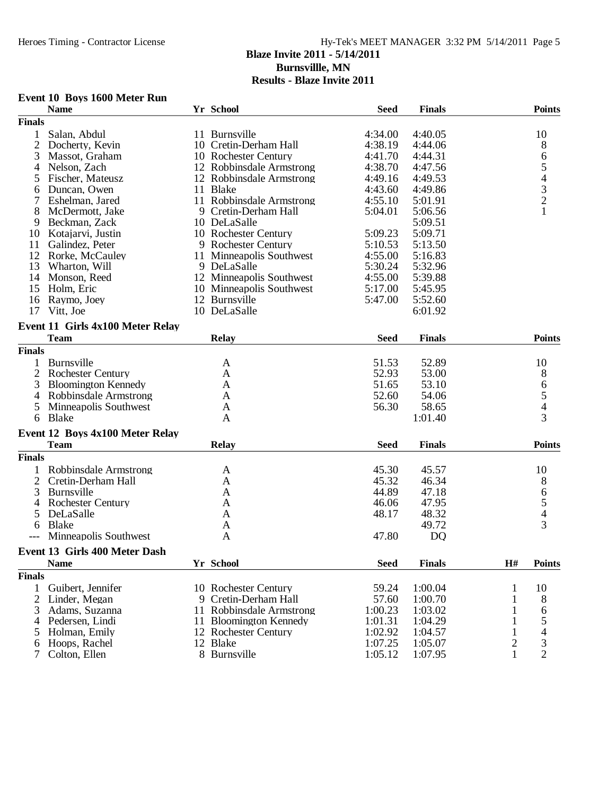# Hy-Tek's MEET MANAGER 3:32 PM 5/14/2011 Page 5

### **Blaze Invite 2011 - 5/14/2011 Burnsvillle, MN**

| Event 10 Boys 1600 Meter Run |  |  |  |  |
|------------------------------|--|--|--|--|
|------------------------------|--|--|--|--|

|                | <b>Name</b>                      |    | Yr School                | <b>Seed</b> | <b>Finals</b> |              | <b>Points</b>                                   |
|----------------|----------------------------------|----|--------------------------|-------------|---------------|--------------|-------------------------------------------------|
| <b>Finals</b>  |                                  |    |                          |             |               |              |                                                 |
| $\mathbf{1}$   | Salan, Abdul                     |    | 11 Burnsville            | 4:34.00     | 4:40.05       |              | 10                                              |
| $\overline{2}$ | Docherty, Kevin                  |    | 10 Cretin-Derham Hall    | 4:38.19     | 4:44.06       |              | 8                                               |
| 3              | Massot, Graham                   |    | 10 Rochester Century     | 4:41.70     | 4:44.31       |              | 6                                               |
| 4              | Nelson, Zach                     |    | 12 Robbinsdale Armstrong | 4:38.70     | 4:47.56       |              | 5                                               |
| 5              | Fischer, Mateusz                 |    | 12 Robbinsdale Armstrong | 4:49.16     | 4:49.53       |              |                                                 |
| 6              | Duncan, Owen                     |    | 11 Blake                 | 4:43.60     | 4:49.86       |              |                                                 |
| 7              | Eshelman, Jared                  |    | 11 Robbinsdale Armstrong | 4:55.10     | 5:01.91       |              | $\begin{array}{c} 4 \\ 3 \\ 2 \\ 1 \end{array}$ |
| 8              | McDermott, Jake                  |    | 9 Cretin-Derham Hall     | 5:04.01     | 5:06.56       |              |                                                 |
| 9              | Beckman, Zack                    |    | 10 DeLaSalle             |             | 5:09.51       |              |                                                 |
| 10             | Kotajarvi, Justin                |    | 10 Rochester Century     | 5:09.23     | 5:09.71       |              |                                                 |
| 11             | Galindez, Peter                  |    | 9 Rochester Century      | 5:10.53     | 5:13.50       |              |                                                 |
| 12             | Rorke, McCauley                  |    | 11 Minneapolis Southwest | 4:55.00     | 5:16.83       |              |                                                 |
| 13             | Wharton, Will                    |    | 9 DeLaSalle              | 5:30.24     | 5:32.96       |              |                                                 |
| 14             | Monson, Reed                     |    | 12 Minneapolis Southwest | 4:55.00     | 5:39.88       |              |                                                 |
| 15             | Holm, Eric                       |    | 10 Minneapolis Southwest | 5:17.00     | 5:45.95       |              |                                                 |
| 16             | Raymo, Joey                      |    | 12 Burnsville            | 5:47.00     | 5:52.60       |              |                                                 |
| 17             | Vitt, Joe                        |    | 10 DeLaSalle             |             | 6:01.92       |              |                                                 |
|                |                                  |    |                          |             |               |              |                                                 |
|                | Event 11 Girls 4x100 Meter Relay |    |                          |             |               |              |                                                 |
|                | <b>Team</b>                      |    | <b>Relay</b>             | <b>Seed</b> | <b>Finals</b> |              | <b>Points</b>                                   |
| <b>Finals</b>  |                                  |    |                          |             |               |              |                                                 |
| 1              | Burnsville                       |    | A                        | 51.53       | 52.89         |              | 10                                              |
|                | 2 Rochester Century              |    | A                        | 52.93       | 53.00         |              | 8                                               |
| 3              | <b>Bloomington Kennedy</b>       |    | A                        | 51.65       | 53.10         |              | 6                                               |
| 4              | Robbinsdale Armstrong            |    | A                        | 52.60       | 54.06         |              | 5                                               |
| 5              | Minneapolis Southwest            |    | A                        | 56.30       | 58.65         |              | $\overline{\mathcal{L}}$                        |
| 6              | Blake                            |    | A                        |             | 1:01.40       |              | 3                                               |
|                | Event 12 Boys 4x100 Meter Relay  |    |                          |             |               |              |                                                 |
|                | <b>Team</b>                      |    | Relay                    | <b>Seed</b> | <b>Finals</b> |              | <b>Points</b>                                   |
|                |                                  |    |                          |             |               |              |                                                 |
| <b>Finals</b>  |                                  |    |                          |             |               |              |                                                 |
| 1              | Robbinsdale Armstrong            |    | A                        | 45.30       | 45.57         |              | 10                                              |
| $\overline{c}$ | Cretin-Derham Hall               |    | A                        | 45.32       | 46.34         |              | 8                                               |
| 3              | Burnsville                       |    | A                        | 44.89       | 47.18         |              | 6                                               |
| 4              | <b>Rochester Century</b>         |    | A                        | 46.06       | 47.95         |              | 5                                               |
| 5              | DeLaSalle                        |    | A                        | 48.17       | 48.32         |              | $\overline{\mathcal{L}}$                        |
| 6              | Blake                            |    | A                        |             | 49.72         |              | 3                                               |
|                | Minneapolis Southwest            |    | A                        | 47.80       | DQ            |              |                                                 |
|                | Event 13 Girls 400 Meter Dash    |    |                          |             |               |              |                                                 |
|                | <b>Name</b>                      |    | Yr School                | <b>Seed</b> | <b>Finals</b> | H#           | <b>Points</b>                                   |
| <b>Finals</b>  |                                  |    |                          |             |               |              |                                                 |
| 1              | Guibert, Jennifer                |    | 10 Rochester Century     | 59.24       | 1:00.04       | 1            | 10                                              |
| 2              | Linder, Megan                    |    | 9 Cretin-Derham Hall     | 57.60       | 1:00.70       | 1            | 8                                               |
|                | Adams, Suzanna                   |    |                          |             |               |              |                                                 |
| 3              |                                  | 11 | Robbinsdale Armstrong    | 1:00.23     | 1:03.02       | 1            | 6                                               |
| 4              | Pedersen, Lindi                  |    | 11 Bloomington Kennedy   | 1:01.31     | 1:04.29       |              | 5                                               |
| 5              | Holman, Emily                    |    | 12 Rochester Century     | 1:02.92     | 1:04.57       | 1            | 4                                               |
| 6              | Hoops, Rachel                    |    | 12 Blake                 | 1:07.25     | 1:05.07       | $\mathbf{2}$ | 3                                               |
| 7              | Colton, Ellen                    |    | 8 Burnsville             | 1:05.12     | 1:07.95       | $\mathbf{1}$ | $\overline{2}$                                  |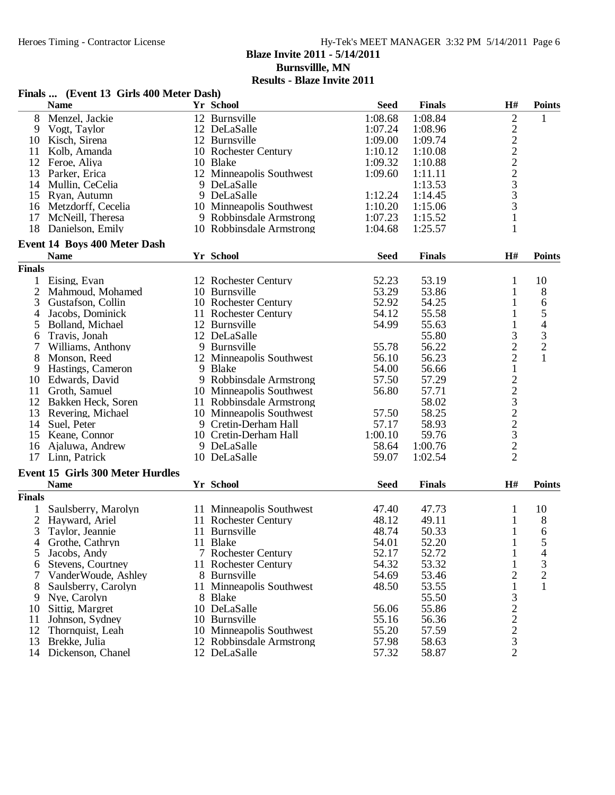**Burnsvillle, MN**

|                | Finals  (Event 13 Girls 400 Meter Dash) |                          |             |               |                                            |                          |
|----------------|-----------------------------------------|--------------------------|-------------|---------------|--------------------------------------------|--------------------------|
|                | <b>Name</b>                             | Yr School                | <b>Seed</b> | <b>Finals</b> | H#                                         | <b>Points</b>            |
| 8              | Menzel, Jackie                          | 12 Burnsville            | 1:08.68     | 1:08.84       | $\sqrt{2}$                                 | 1                        |
| 9              | Vogt, Taylor                            | 12 DeLaSalle             | 1:07.24     | 1:08.96       |                                            |                          |
| 10             | Kisch, Sirena                           | 12 Burnsville            | 1:09.00     | 1:09.74       | $2222$<br>$223$<br>$33$                    |                          |
| 11             | Kolb, Amanda                            | 10 Rochester Century     | 1:10.12     | 1:10.08       |                                            |                          |
| 12             | Feroe, Aliya                            | 10 Blake                 | 1:09.32     | 1:10.88       |                                            |                          |
|                | 13 Parker, Erica                        | 12 Minneapolis Southwest | 1:09.60     | 1:11.11       |                                            |                          |
|                | 14 Mullin, CeCelia                      | 9 DeLaSalle              |             | 1:13.53       |                                            |                          |
|                | 15 Ryan, Autumn                         | 9 DeLaSalle              | 1:12.24     | 1:14.45       |                                            |                          |
|                | 16 Metzdorff, Cecelia                   | 10 Minneapolis Southwest | 1:10.20     | 1:15.06       | 3                                          |                          |
| 17             | McNeill, Theresa                        | 9 Robbinsdale Armstrong  | 1:07.23     | 1:15.52       | $\mathbf{1}$                               |                          |
| 18             | Danielson, Emily                        | 10 Robbinsdale Armstrong | 1:04.68     | 1:25.57       | 1                                          |                          |
|                | Event 14 Boys 400 Meter Dash            |                          |             |               |                                            |                          |
|                | <b>Name</b>                             | Yr School                | <b>Seed</b> | <b>Finals</b> | H#                                         | <b>Points</b>            |
| <b>Finals</b>  |                                         |                          |             |               |                                            |                          |
|                | 1 Eising, Evan                          | 12 Rochester Century     | 52.23       | 53.19         | 1                                          | 10                       |
| $\overline{2}$ | Mahmoud, Mohamed                        | 10 Burnsville            | 53.29       | 53.86         | 1                                          | $\,8\,$                  |
| 3              | Gustafson, Collin                       | 10 Rochester Century     | 52.92       | 54.25         | 1                                          | 6                        |
| 4              | Jacobs, Dominick                        | 11 Rochester Century     | 54.12       | 55.58         | 1                                          | 5                        |
|                |                                         |                          | 54.99       | 55.63         | $\mathbf{1}$                               | $\overline{\mathcal{L}}$ |
| 5              | Bolland, Michael                        | 12 Burnsville            |             |               |                                            |                          |
| 6              | Travis, Jonah                           | 12 DeLaSalle             |             | 55.80         | $\mathfrak{Z}$                             | $\mathfrak 3$            |
| 7              | Williams, Anthony                       | 9 Burnsville             | 55.78       | 56.22         | $\frac{2}{2}$                              | $\overline{2}$           |
| 8              | Monson, Reed                            | 12 Minneapolis Southwest | 56.10       | 56.23         |                                            |                          |
| 9              | Hastings, Cameron                       | 9 Blake                  | 54.00       | 56.66         | $\mathbf{1}$                               |                          |
| 10             | Edwards, David                          | 9 Robbinsdale Armstrong  | 57.50       | 57.29         | $22322$<br>$223$                           |                          |
| 11 -           | Groth, Samuel                           | 10 Minneapolis Southwest | 56.80       | 57.71         |                                            |                          |
|                | 12 Bakken Heck, Soren                   | 11 Robbinsdale Armstrong |             | 58.02         |                                            |                          |
|                | 13 Revering, Michael                    | 10 Minneapolis Southwest | 57.50       | 58.25         |                                            |                          |
| 14             | Suel, Peter                             | 9 Cretin-Derham Hall     | 57.17       | 58.93         |                                            |                          |
|                | 15 Keane, Connor                        | 10 Cretin-Derham Hall    | 1:00.10     | 59.76         |                                            |                          |
| 16             | Ajaluwa, Andrew                         | 9 DeLaSalle              | 58.64       | 1:00.76       | $\overline{2}$                             |                          |
| 17             | Linn, Patrick                           | 10 DeLaSalle             | 59.07       | 1:02.54       | $\overline{2}$                             |                          |
|                | <b>Event 15 Girls 300 Meter Hurdles</b> |                          |             |               |                                            |                          |
|                | <b>Name</b>                             | Yr School                | <b>Seed</b> | <b>Finals</b> | H#                                         | <b>Points</b>            |
| <b>Finals</b>  |                                         |                          |             |               |                                            |                          |
| $\mathbf{1}$   | Saulsberry, Marolyn                     | 11 Minneapolis Southwest | 47.40       | 47.73         | 1                                          | 10                       |
|                | 2 Hayward, Ariel                        | 11 Rochester Century     | 48.12       | 49.11         | $\mathbf{1}$                               | 8                        |
|                | 3 Taylor, Jeannie                       | 11 Burnsville            | 48.74       | 50.33         | 1                                          | 6                        |
|                | Grothe, Cathryn                         | 11 Blake                 | 54.01       | 52.20         | 1                                          | 5                        |
| 5              | Jacobs, Andy                            | 7 Rochester Century      | 52.17       | 52.72         | 1                                          | 4                        |
| 6              | Stevens, Courtney                       | 11 Rochester Century     | 54.32       | 53.32         |                                            | 3                        |
|                | VanderWoude, Ashley                     | 8 Burnsville             | 54.69       | 53.46         | 2                                          | $\mathbf{2}$             |
| 8              | Saulsberry, Carolyn                     | 11 Minneapolis Southwest | 48.50       | 53.55         |                                            |                          |
| 9              | Nye, Carolyn                            | 8 Blake                  |             | 55.50         | 3                                          |                          |
| 10             | Sittig, Margret                         | 10 DeLaSalle             | 56.06       | 55.86         |                                            |                          |
| 11             | Johnson, Sydney                         | 10 Burnsville            | 55.16       | 56.36         |                                            |                          |
|                | 12 Thornquist, Leah                     | 10 Minneapolis Southwest | 55.20       | 57.59         | $\begin{array}{c} 2 \\ 2 \\ 2 \end{array}$ |                          |
|                | 13 Brekke, Julia                        | 12 Robbinsdale Armstrong | 57.98       | 58.63         | 3                                          |                          |
|                | 14 Dickenson, Chanel                    | 12 DeLaSalle             | 57.32       | 58.87         | $\overline{2}$                             |                          |
|                |                                         |                          |             |               |                                            |                          |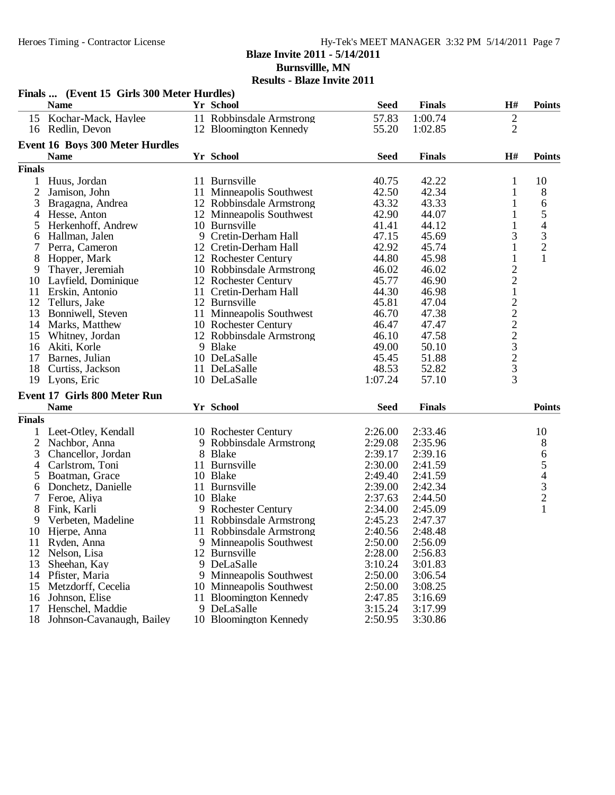**Blaze Invite 2011 - 5/14/2011 Burnsvillle, MN**

| <b>Results - Blaze Invite 2011</b> |
|------------------------------------|
|------------------------------------|

|                | Finals  (Event 15 Girls 300 Meter Hurdles) |                          |             |               |                    |                                                 |
|----------------|--------------------------------------------|--------------------------|-------------|---------------|--------------------|-------------------------------------------------|
|                | <b>Name</b>                                | Yr School                | <b>Seed</b> | <b>Finals</b> | H#                 | <b>Points</b>                                   |
| 15             | Kochar-Mack, Haylee                        | 11 Robbinsdale Armstrong | 57.83       | 1:00.74       | $\sqrt{2}$         |                                                 |
|                | 16 Redlin, Devon                           | 12 Bloomington Kennedy   | 55.20       | 1:02.85       | $\overline{2}$     |                                                 |
|                | <b>Event 16 Boys 300 Meter Hurdles</b>     |                          |             |               |                    |                                                 |
|                | <b>Name</b>                                | Yr School                | <b>Seed</b> | <b>Finals</b> | H#                 | <b>Points</b>                                   |
| <b>Finals</b>  |                                            |                          |             |               |                    |                                                 |
| 1              | Huus, Jordan                               | 11 Burnsville            | 40.75       | 42.22         | 1                  | 10                                              |
| $\overline{2}$ | Jamison, John                              | 11 Minneapolis Southwest | 42.50       | 42.34         | 1                  | 8                                               |
| 3              | Bragagna, Andrea                           | 12 Robbinsdale Armstrong | 43.32       | 43.33         | 1                  | 6                                               |
| 4              | Hesse, Anton                               | 12 Minneapolis Southwest | 42.90       | 44.07         | 1                  | 5                                               |
| 5              | Herkenhoff, Andrew                         | 10 Burnsville            | 41.41       | 44.12         | $\mathbf{1}$       |                                                 |
| 6              | Hallman, Jalen                             | 9 Cretin-Derham Hall     | 47.15       | 45.69         | 3                  | $rac{4}{3}$                                     |
|                | Perra, Cameron                             | 12 Cretin-Derham Hall    | 42.92       | 45.74         | $\mathbf{1}$       | $\overline{c}$                                  |
| 8              | Hopper, Mark                               | 12 Rochester Century     | 44.80       | 45.98         | $\mathbf{1}$       | $\mathbf{1}$                                    |
| 9              | Thayer, Jeremiah                           | 10 Robbinsdale Armstrong | 46.02       | 46.02         |                    |                                                 |
| 10             | Layfield, Dominique                        | 12 Rochester Century     | 45.77       | 46.90         | $\frac{2}{2}$      |                                                 |
| 11             | Erskin, Antonio                            | 11 Cretin-Derham Hall    | 44.30       | 46.98         |                    |                                                 |
| 12             | Tellurs, Jake                              | 12 Burnsville            | 45.81       | 47.04         |                    |                                                 |
| 13             | Bonniwell, Steven                          | 11 Minneapolis Southwest | 46.70       | 47.38         |                    |                                                 |
| 14             | Marks, Matthew                             | 10 Rochester Century     | 46.47       | 47.47         | $122223$<br>$2323$ |                                                 |
| 15             | Whitney, Jordan                            | 12 Robbinsdale Armstrong | 46.10       | 47.58         |                    |                                                 |
| 16             | Akiti, Korle                               | 9 Blake                  | 49.00       | 50.10         |                    |                                                 |
| 17             | Barnes, Julian                             | 10 DeLaSalle             | 45.45       | 51.88         |                    |                                                 |
| 18             | Curtiss, Jackson                           | 11 DeLaSalle             | 48.53       | 52.82         |                    |                                                 |
|                | 19 Lyons, Eric                             | 10 DeLaSalle             | 1:07.24     | 57.10         | $\overline{3}$     |                                                 |
|                | Event 17 Girls 800 Meter Run               |                          |             |               |                    |                                                 |
|                | <b>Name</b>                                | Yr School                | <b>Seed</b> | <b>Finals</b> |                    | <b>Points</b>                                   |
| <b>Finals</b>  |                                            |                          |             |               |                    |                                                 |
|                | Leet-Otley, Kendall                        | 10 Rochester Century     | 2:26.00     | 2:33.46       |                    | 10                                              |
| $\overline{2}$ | Nachbor, Anna                              | 9 Robbinsdale Armstrong  | 2:29.08     | 2:35.96       |                    | 8                                               |
| 3              | Chancellor, Jordan                         | 8 Blake                  | 2:39.17     | 2:39.16       |                    | 6                                               |
| 4              | Carlstrom, Toni                            | 11 Burnsville            | 2:30.00     | 2:41.59       |                    |                                                 |
| 5              | Boatman, Grace                             | 10 Blake                 | 2:49.40     | 2:41.59       |                    |                                                 |
| 6              | Donchetz, Danielle                         | 11 Burnsville            | 2:39.00     | 2:42.34       |                    | $\begin{array}{c} 5 \\ 4 \\ 3 \\ 2 \end{array}$ |
| 7              | Feroe, Aliya                               | 10 Blake                 | 2:37.63     | 2:44.50       |                    |                                                 |
| 8              | Fink, Karli                                | 9 Rochester Century      | 2:34.00     | 2:45.09       |                    | $\mathbf{1}$                                    |
| 9              | Verbeten, Madeline                         | 11 Robbinsdale Armstrong | 2:45.23     | 2:47.37       |                    |                                                 |
| 10             | Hjerpe, Anna                               | 11 Robbinsdale Armstrong | 2:40.56     | 2:48.48       |                    |                                                 |
| 11             | Ryden, Anna                                | 9 Minneapolis Southwest  | 2:50.00     | 2:56.09       |                    |                                                 |
| 12             | Nelson, Lisa                               | 12 Burnsville            | 2:28.00     | 2:56.83       |                    |                                                 |
| 13             | Sheehan, Kay                               | 9 DeLaSalle              | 3:10.24     | 3:01.83       |                    |                                                 |
| 14             | Pfister, Maria                             | 9 Minneapolis Southwest  | 2:50.00     | 3:06.54       |                    |                                                 |
| 15             | Metzdorff, Cecelia                         | 10 Minneapolis Southwest | 2:50.00     | 3:08.25       |                    |                                                 |
| 16             | Johnson, Elise                             | 11 Bloomington Kennedy   | 2:47.85     | 3:16.69       |                    |                                                 |
| 17             | Henschel, Maddie                           | 9 DeLaSalle              | 3:15.24     | 3:17.99       |                    |                                                 |
| 18             | Johnson-Cavanaugh, Bailey                  | 10 Bloomington Kennedy   | 2:50.95     | 3:30.86       |                    |                                                 |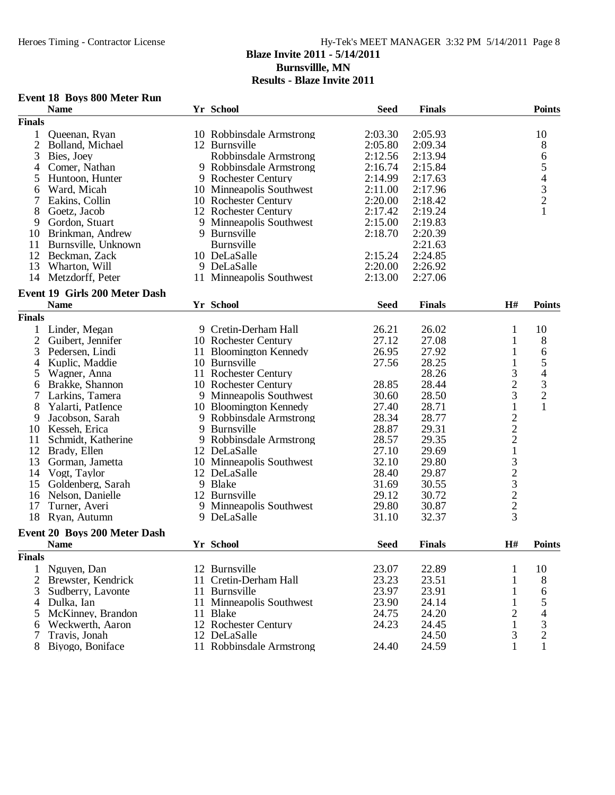**Burnsvillle, MN**

**Results - Blaze Invite 2011**

## **Event 18 Boys 800 Meter Run**

|                | <b>Name</b>                   | Yr School                | <b>Seed</b> | <b>Finals</b> |                                                 | <b>Points</b>                                   |
|----------------|-------------------------------|--------------------------|-------------|---------------|-------------------------------------------------|-------------------------------------------------|
| <b>Finals</b>  |                               |                          |             |               |                                                 |                                                 |
| 1              | Queenan, Ryan                 | 10 Robbinsdale Armstrong | 2:03.30     | 2:05.93       |                                                 | 10                                              |
| $\overline{2}$ | Bolland, Michael              | 12 Burnsville            | 2:05.80     | 2:09.34       |                                                 | 8                                               |
| 3              | Bies, Joey                    | Robbinsdale Armstrong    | 2:12.56     | 2:13.94       |                                                 | 6                                               |
| 4              | Comer, Nathan                 | 9 Robbinsdale Armstrong  | 2:16.74     | 2:15.84       |                                                 | 5                                               |
| 5              | Huntoon, Hunter               | 9 Rochester Century      | 2:14.99     | 2:17.63       |                                                 |                                                 |
| 6              | Ward, Micah                   | 10 Minneapolis Southwest | 2:11.00     | 2:17.96       |                                                 |                                                 |
| 7              | Eakins, Collin                | 10 Rochester Century     | 2:20.00     | 2:18.42       |                                                 | $\begin{array}{c} 4 \\ 3 \\ 2 \\ 1 \end{array}$ |
| 8              | Goetz, Jacob                  | 12 Rochester Century     | 2:17.42     | 2:19.24       |                                                 |                                                 |
| 9              | Gordon, Stuart                | 9 Minneapolis Southwest  | 2:15.00     | 2:19.83       |                                                 |                                                 |
| 10             | Brinkman, Andrew              | 9 Burnsville             | 2:18.70     | 2:20.39       |                                                 |                                                 |
| 11             | Burnsville, Unknown           | Burnsville               |             | 2:21.63       |                                                 |                                                 |
| 12             | Beckman, Zack                 | 10 DeLaSalle             | 2:15.24     | 2:24.85       |                                                 |                                                 |
| 13             | Wharton, Will                 | 9 DeLaSalle              | 2:20.00     | 2:26.92       |                                                 |                                                 |
|                | 14 Metzdorff, Peter           | 11 Minneapolis Southwest | 2:13.00     | 2:27.06       |                                                 |                                                 |
|                |                               |                          |             |               |                                                 |                                                 |
|                | Event 19 Girls 200 Meter Dash |                          |             |               |                                                 |                                                 |
|                | <b>Name</b>                   | Yr School                | <b>Seed</b> | <b>Finals</b> | H#                                              | <b>Points</b>                                   |
| <b>Finals</b>  |                               |                          |             |               |                                                 |                                                 |
| 1              | Linder, Megan                 | 9 Cretin-Derham Hall     | 26.21       | 26.02         | 1                                               | 10                                              |
| $\overline{2}$ | Guibert, Jennifer             | 10 Rochester Century     | 27.12       | 27.08         | $\mathbf{1}$                                    | $\,8\,$                                         |
| 3              | Pedersen, Lindi               | 11 Bloomington Kennedy   | 26.95       | 27.92         | $\mathbf{1}$                                    | 6                                               |
| 4              | Kuplic, Maddie                | 10 Burnsville            | 27.56       | 28.25         | $\mathbf{1}$                                    | 5                                               |
| 5              | Wagner, Anna                  | 11 Rochester Century     |             | 28.26         | 3                                               | $\overline{4}$                                  |
| 6              | Brakke, Shannon               | 10 Rochester Century     | 28.85       | 28.44         | $\overline{c}$                                  |                                                 |
| 7              | Larkins, Tamera               | 9 Minneapolis Southwest  | 30.60       | 28.50         | 3                                               | $\frac{3}{2}$                                   |
| 8              | Yalarti, PatIence             | 10 Bloomington Kennedy   | 27.40       | 28.71         | $\mathbf 1$                                     | $\mathbf{1}$                                    |
| 9              | Jacobson, Sarah               | 9 Robbinsdale Armstrong  | 28.34       | 28.77         |                                                 |                                                 |
| 10             | Kesseh, Erica                 | 9 Burnsville             | 28.87       | 29.31         |                                                 |                                                 |
| 11             | Schmidt, Katherine            | 9 Robbinsdale Armstrong  | 28.57       | 29.35         | $\begin{array}{c} 2 \\ 2 \\ 2 \\ 1 \end{array}$ |                                                 |
| 12             | Brady, Ellen                  | 12 DeLaSalle             | 27.10       | 29.69         |                                                 |                                                 |
| 13             | Gorman, Jametta               | 10 Minneapolis Southwest | 32.10       | 29.80         |                                                 |                                                 |
| 14             | Vogt, Taylor                  | 12 DeLaSalle             | 28.40       | 29.87         |                                                 |                                                 |
| 15             | Goldenberg, Sarah             | 9 Blake                  | 31.69       | 30.55         |                                                 |                                                 |
| 16             | Nelson, Danielle              | 12 Burnsville            | 29.12       | 30.72         |                                                 |                                                 |
| 17             | Turner, Averi                 | 9 Minneapolis Southwest  | 29.80       | 30.87         |                                                 |                                                 |
| 18             | Ryan, Autumn                  | 9 DeLaSalle              | 31.10       | 32.37         | 323223                                          |                                                 |
|                |                               |                          |             |               |                                                 |                                                 |
|                | Event 20 Boys 200 Meter Dash  |                          |             |               |                                                 |                                                 |
|                | <b>Name</b>                   | Yr School                | <b>Seed</b> | <b>Finals</b> | H#                                              | <b>Points</b>                                   |
| <b>Finals</b>  |                               |                          |             |               |                                                 |                                                 |
| 1              | Nguyen, Dan                   | 12 Burnsville            | 23.07       | 22.89         | 1                                               | 10                                              |
| 2              | Brewster, Kendrick            | 11 Cretin-Derham Hall    | 23.23       | 23.51         | 1                                               | 8                                               |
| 3              | Sudberry, Lavonte             | 11 Burnsville            | 23.97       | 23.91         | 1                                               | 6                                               |
| 4              | Dulka, Ian                    | 11 Minneapolis Southwest | 23.90       | 24.14         |                                                 | 5                                               |
| 5              | McKinney, Brandon             | 11 Blake                 | 24.75       | 24.20         | 2                                               | 4                                               |
| 6              | Weckwerth, Aaron              | 12 Rochester Century     | 24.23       | 24.45         | $\mathbf{1}$                                    | 3                                               |
| 7              | Travis, Jonah                 | 12 DeLaSalle             |             | 24.50         | $\mathfrak{Z}$                                  | $\overline{c}$                                  |
| 8              | Biyogo, Boniface              | 11 Robbinsdale Armstrong | 24.40       | 24.59         | $\mathbf{1}$                                    | $\mathbf{1}$                                    |
|                |                               |                          |             |               |                                                 |                                                 |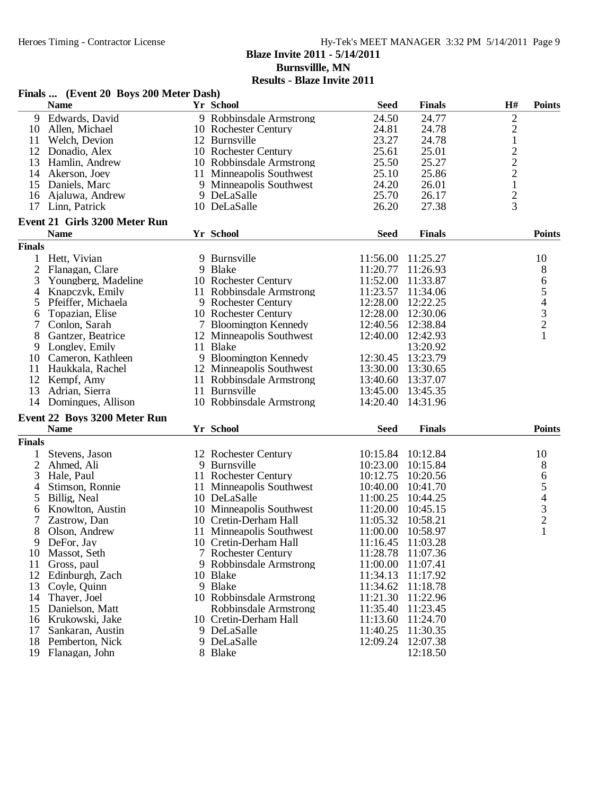**Burnsvillle, MN**

|                | Finals  (Event 20 Boys 200 Meter Dash) |                          |             |                   |                |                |
|----------------|----------------------------------------|--------------------------|-------------|-------------------|----------------|----------------|
|                | <b>Name</b>                            | Yr School                | <b>Seed</b> | <b>Finals</b>     | H#             | <b>Points</b>  |
| 9              | Edwards, David                         | 9 Robbinsdale Armstrong  | 24.50       | 24.77             | $\mathbf 2$    |                |
| 10             | Allen, Michael                         | 10 Rochester Century     | 24.81       | 24.78             | $\overline{c}$ |                |
| 11             | Welch, Devion                          | 12 Burnsville            | 23.27       | 24.78             | $\mathbf{1}$   |                |
| 12             | Donadio, Alex                          | 10 Rochester Century     | 25.61       | 25.01             | $\frac{2}{2}$  |                |
| 13             | Hamlin, Andrew                         | 10 Robbinsdale Armstrong | 25.50       | 25.27             |                |                |
| 14             | Akerson, Joey                          | 11 Minneapolis Southwest | 25.10       | 25.86             | $\overline{c}$ |                |
| 15             | Daniels, Marc                          | 9 Minneapolis Southwest  | 24.20       | 26.01             | $\mathbf 1$    |                |
| 16             | Ajaluwa, Andrew                        | 9 DeLaSalle              | 25.70       | 26.17             | $\overline{c}$ |                |
| 17             | Linn, Patrick                          | 10 DeLaSalle             | 26.20       | 27.38             | $\overline{3}$ |                |
|                | <b>Event 21 Girls 3200 Meter Run</b>   |                          |             |                   |                |                |
|                | <b>Name</b>                            | Yr School                | <b>Seed</b> | <b>Finals</b>     |                | <b>Points</b>  |
| <b>Finals</b>  |                                        |                          |             |                   |                |                |
| 1              | Hett, Vivian                           | 9 Burnsville             | 11:56.00    | 11:25.27          |                | 10             |
| $\overline{2}$ | Flanagan, Clare                        | 9 Blake                  | 11:20.77    | 11:26.93          |                | 8              |
| 3              | Youngberg, Madeline                    | 10 Rochester Century     | 11:52.00    | 11:33.87          |                | 6              |
| 4              | Knapczyk, Emily                        | 11 Robbinsdale Armstrong | 11:23.57    | 11:34.06          |                | $\mathfrak s$  |
| 5              | Pfeiffer, Michaela                     | 9 Rochester Century      | 12:28.00    | 12:22.25          |                | $\overline{4}$ |
| 6              | Topazian, Elise                        | 10 Rochester Century     | 12:28.00    | 12:30.06          |                | $\mathfrak{Z}$ |
| 7              | Conlon, Sarah                          | 7 Bloomington Kennedy    | 12:40.56    | 12:38.84          |                | $\overline{2}$ |
| 8              | Gantzer, Beatrice                      | 12 Minneapolis Southwest | 12:40.00    | 12:42.93          |                | $\mathbf{1}$   |
| 9              | Longley, Emily                         | 11 Blake                 |             | 13:20.92          |                |                |
| 10             | Cameron, Kathleen                      | 9 Bloomington Kennedy    | 12:30.45    | 13:23.79          |                |                |
| 11             | Haukkala, Rachel                       | 12 Minneapolis Southwest | 13:30.00    | 13:30.65          |                |                |
| 12             | Kempf, Amy                             | 11 Robbinsdale Armstrong | 13:40.60    | 13:37.07          |                |                |
| 13             | Adrian, Sierra                         | 11 Burnsville            | 13:45.00    | 13:45.35          |                |                |
| 14             | Domingues, Allison                     | 10 Robbinsdale Armstrong | 14:20.40    | 14:31.96          |                |                |
|                | Event 22 Boys 3200 Meter Run           |                          |             |                   |                |                |
|                | <b>Name</b>                            | Yr School                | <b>Seed</b> | <b>Finals</b>     |                | <b>Points</b>  |
| <b>Finals</b>  |                                        |                          |             |                   |                |                |
|                | Stevens, Jason                         | 12 Rochester Century     | 10:15.84    | 10:12.84          |                | 10             |
| 2              | Ahmed, Ali                             | 9 Burnsville             | 10:23.00    | 10:15.84          |                | 8              |
| 3              | Hale, Paul                             | 11 Rochester Century     | 10:12.75    | 10:20.56          |                | 6              |
| 4              | Stimson, Ronnie                        | 11 Minneapolis Southwest | 10:40.00    | 10:41.70          |                | $\mathfrak s$  |
| 5              | Billig, Neal                           | 10 DeLaSalle             | 11:00.25    | 10:44.25          |                | 4              |
| 6              | Knowlton, Austin                       | 10 Minneapolis Southwest | 11:20.00    | 10:45.15          |                |                |
| 7              | Zastrow, Dan                           | 10 Cretin-Derham Hall    | 11:05.32    | 10:58.21          |                | $\frac{3}{2}$  |
| 8              | Olson, Andrew                          | 11 Minneapolis Southwest | 11:00.00    | 10:58.97          |                | 1              |
| 9              | DeFor, Jay                             | 10 Cretin-Derham Hall    |             | 11:16.45 11:03.28 |                |                |
| 10             | Massot, Seth                           | 7 Rochester Century      | 11:28.78    | 11:07.36          |                |                |
| 11             | Gross, paul                            | 9 Robbinsdale Armstrong  | 11:00.00    | 11:07.41          |                |                |
| 12             | Edinburgh, Zach                        | 10 Blake                 | 11:34.13    | 11:17.92          |                |                |
| 13             | Coyle, Quinn                           | 9 Blake                  | 11:34.62    | 11:18.78          |                |                |
| 14             | Thayer, Joel                           | 10 Robbinsdale Armstrong | 11:21.30    | 11:22.96          |                |                |
| 15             | Danielson, Matt                        | Robbinsdale Armstrong    | 11:35.40    | 11:23.45          |                |                |
| 16             | Krukowski, Jake                        | 10 Cretin-Derham Hall    | 11:13.60    | 11:24.70          |                |                |
| 17             | Sankaran, Austin                       | 9 DeLaSalle              | 11:40.25    | 11:30.35          |                |                |
| 18             | Pemberton, Nick                        | 9 DeLaSalle              | 12:09.24    | 12:07.38          |                |                |
|                | 19 Flanagan, John                      | 8 Blake                  |             | 12:18.50          |                |                |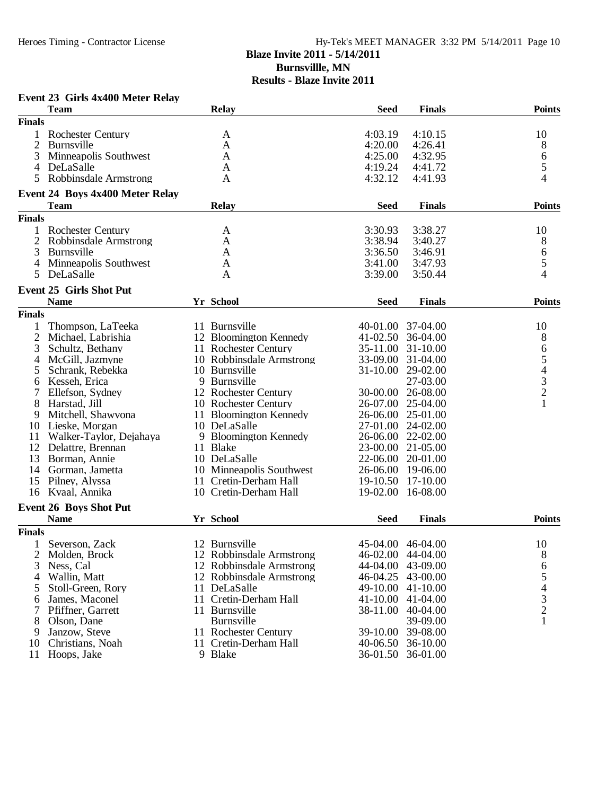## Heroes Timing - Contractor License Hy-Tek's MEET MANAGER 3:32 PM 5/14/2011 Page 10 **Blaze Invite 2011 - 5/14/2011 Burnsvillle, MN Results - Blaze Invite 2011**

#### **Event 23 Girls 4x400 Meter Relay Team Relay Seed Finals Points Finals** 1 Rochester Century A 4:03.19 4:10.15 10<br>2 Burnsville A 4:20.00 4:26.41 8 2 Burnsville A 64:20.00 4:26.41 8 3 Minneapolis Southwest A 4:25.00 4:32.95 6<br>4 DeLaSalle A 4:19.24 4:41.72 5 4 DeLaSalle A 4:19.24 4:41.72 5 5 Robbinsdale Armstrong A 4:32.12 4:41.93 4 **Event 24 Boys 4x400 Meter Relay Team Relay Seed Finals Points Finals** 1 Rochester Century A 3:30.93 3:38.27 10 2 Robbinsdale Armstrong A 3:38.94 3:40.27 8<br>3 Burnsville Armstrong A 3:36.50 3:46.91 6 3 Burnsville A 3:36.50 3:46.91 6 4 Minneapolis Southwest A 3:41.00 3:47.93 5<br>5 DeLaSalle A 3:39.00 3:50.44 4 5 DeLaSalle 4 A 3:39.00 3:50.44 4 **Event 25 Girls Shot Put Name Yr School FinalsSeed Points Finals** 1 Thompson, LaTeeka 11 Burnsville 40-01.00 37-04.00 10<br>2 Michael, Labrishia 12 Bloomington Kennedy 41-02.50 36-04.00 8 2 Michael, Labrishia 12 Bloomington Kennedy 41-02.50 36-04.00 8<br>3 Schultz, Bethany 11 Rochester Century 35-11.00 31-10.00 6 3 Schultz, Bethany 11 Rochester Century 35-11.00 31-10.00 6<br>4 McGill, Jazmyne 10 Robbinsdale Armstrong 33-09.00 31-04.00 5 4 McGill, Jazmyne 10 Robbinsdale Armstrong 33-09.00 31-04.00 5<br>5 Schrank, Rebekka 10 Burnsville 31-10.00 29-02.00 4 5 Schrank, Rebekka 10 Burnsville 31-10.00 29-02.00 4 6 Kesseh, Erica 9 Burnsville 27-03.00 3 7 Ellefson, Sydney 12 Rochester Century 30-00.00 26-08.00 2<br>8 Harstad, Jill 10 Rochester Century 26-07.00 25-04.00 2 8 Harstad, Jill 10 Rochester Century 26-07.00 25-04.00<br>
9 Mitchell, Shawvona 11 Bloomington Kennedy 26-06.00 25-01.00 Mitchell, Shawvona 11 Bloomington Kennedy<br>Lieske, Morgan 10 DeLaSalle 10 Lieske, Morgan 10 DeLaSalle 27-01.00 24-02.00<br>11 Walker-Taylor, Dejahaya 9 Bloomington Kennedy 26-06.00 22-02.00 11 Walker-Taylor, Dejahaya 9 Bloom<br>12 Delattre, Brennan 11 Blake 12 Delattre, Brennan 11 Blake 23-00.00 21-05.00<br>13 Borman Annie 10 DeLaSalle 22-06.00 20-01.00 13 Borman, Annie 10 DeLaSalle 22-06.00 20-01.00<br>14 Gorman, Jametta 10 Minneapolis Southwest 26-06.00 19-06.00 14 Gorman, Jametta 10 Minneapolis Southwest 26-06.00 19-06.00<br>15 Pilney, Alyssa 11 Cretin-Derham Hall 19-10.50 17-10.00 15 Pilney, Alyssa 11 Cretin-Derham Hall 19-10.50 17-10.00<br>16 Kvaal, Annika 10 Cretin-Derham Hall 19-02.00 16-08.00 10 Cretin-Derham Hall **Event 26 Boys Shot Put Name Yr School FinalsSeed Points Finals** 1 Severson, Zack 12 Burnsville 45-04.00 46-04.00 10<br>2 Molden, Brock 12 Robbinsdale Armstrong 46-02.00 44-04.00 8 2 Molden, Brock 12 Robbinsdale Armstrong 46-02.00 44-04.00 8<br>3 Ness, Cal 12 Robbinsdale Armstrong 44-04.00 43-09.00 6 12 Robbinsdale Armstrong 44-04.00 43-09.00 6<br>12 Robbinsdale Armstrong 46-04.25 43-00.00 5 4 Wallin, Matt 12 Robbinsdale Armstrong 46-04.25 43-00.00 5<br>5 Stoll-Green Rory 11 DeLaSalle 49-10.00 41-10.00 4 Stoll-Green, Rory 11 DeLaSalle 49-10.00 41-10.00 4<br>
James, Maconel 11 Cretin-Derham Hall 41-10.00 41-04.00 3 6 James, Maconel 11 Cretin-Derham Hall 41-10.00 41-04.00 3<br>7 Pfiffner. Garrett 11 Burnsville 38-11.00 40-04.00 2 7 Pfiffner, Garrett 11 Burnsville 38-11.00 40-04.00 2<br>8 Olson, Dane Burnsville 39-09.00 1 8 Olson, Dane Burnsville 39-09.00 1 9 Janzow, Steve 11 Rochester Century 39-10.00 39-08.00<br>10 Christians. Noah 11 Cretin-Derham Hall 40-06.50 36-10.00 11 Cretin-Derham Hall 11 Hoops, Jake 9 Blake 36-01.50 36-01.00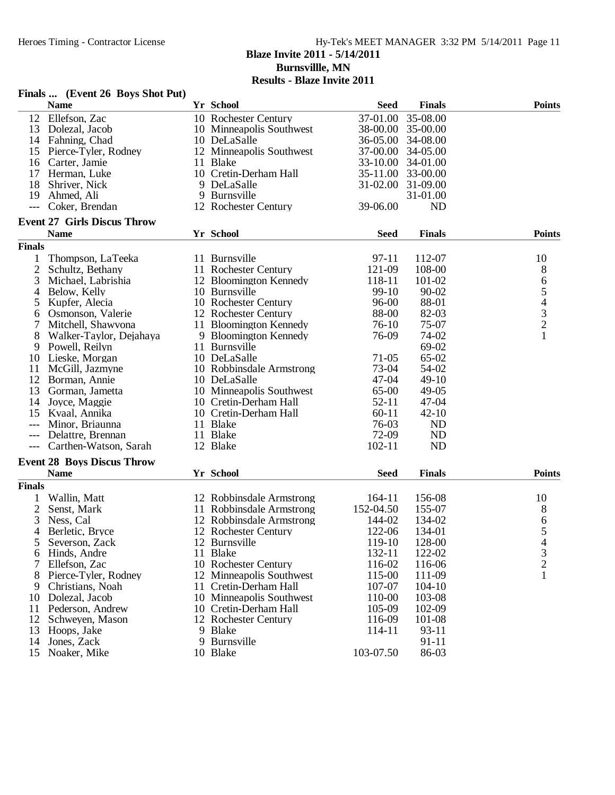# Heroes Timing - Contractor License Hy-Tek's MEET MANAGER 3:32 PM 5/14/2011 Page 11 **Blaze Invite 2011 - 5/14/2011 Burnsvillle, MN Results - Blaze Invite 2011**

## **Finals ... (Event 26 Boys Shot Put)**

|                | $\mathbf{r}$ mans $\mathbf{m}$ (Lycht 20 Doys Shot I at) |                          |             |                   |                |
|----------------|----------------------------------------------------------|--------------------------|-------------|-------------------|----------------|
|                | <b>Name</b>                                              | Yr School                | <b>Seed</b> | <b>Finals</b>     | <b>Points</b>  |
|                | 12 Ellefson, Zac                                         | 10 Rochester Century     | 37-01.00    | 35-08.00          |                |
| 13             | Dolezal, Jacob                                           | 10 Minneapolis Southwest |             | 38-00.00 35-00.00 |                |
|                | 14 Fahning, Chad                                         | 10 DeLaSalle             | 36-05.00    | 34-08.00          |                |
| 15             | Pierce-Tyler, Rodney                                     | 12 Minneapolis Southwest | 37-00.00    | 34-05.00          |                |
| 16             | Carter, Jamie                                            | 11 Blake                 |             | 33-10.00 34-01.00 |                |
| 17             | Herman, Luke                                             | 10 Cretin-Derham Hall    |             | 35-11.00 33-00.00 |                |
| 18             | Shriver, Nick                                            | 9 DeLaSalle              |             | 31-02.00 31-09.00 |                |
| 19             | Ahmed, Ali                                               | 9 Burnsville             |             | 31-01.00          |                |
| $---$          | Coker, Brendan                                           | 12 Rochester Century     | 39-06.00    | <b>ND</b>         |                |
|                |                                                          |                          |             |                   |                |
|                | <b>Event 27 Girls Discus Throw</b>                       |                          |             |                   |                |
|                | <b>Name</b>                                              | Yr School                | <b>Seed</b> | <b>Finals</b>     | <b>Points</b>  |
| <b>Finals</b>  |                                                          |                          |             |                   |                |
| 1              | Thompson, LaTeeka                                        | 11 Burnsville            | 97-11       | 112-07            | 10             |
| $\mathfrak{2}$ | Schultz, Bethany                                         | 11 Rochester Century     | 121-09      | 108-00            | 8              |
| 3              | Michael, Labrishia                                       | 12 Bloomington Kennedy   | 118-11      | 101-02            |                |
| 4              | Below, Kelly                                             | 10 Burnsville            | 99-10       | $90 - 02$         |                |
| 5              | Kupfer, Alecia                                           | 10 Rochester Century     | 96-00       | 88-01             | 65432          |
| 6              | Osmonson, Valerie                                        | 12 Rochester Century     | 88-00       | 82-03             |                |
| 7              | Mitchell, Shawvona                                       | 11 Bloomington Kennedy   | 76-10       | 75-07             |                |
| 8              | Walker-Taylor, Dejahaya                                  | 9 Bloomington Kennedy    | 76-09       | 74-02             | $\mathbf{1}$   |
|                | Powell, Reilyn                                           | 11 Burnsville            |             | 69-02             |                |
| 9              |                                                          |                          |             |                   |                |
| 10             | Lieske, Morgan                                           | 10 DeLaSalle             | $71-05$     | 65-02             |                |
| 11             | McGill, Jazmyne                                          | 10 Robbinsdale Armstrong | 73-04       | 54-02             |                |
| 12             | Borman, Annie                                            | 10 DeLaSalle             | $47 - 04$   | $49-10$           |                |
| 13             | Gorman, Jametta                                          | 10 Minneapolis Southwest | 65-00       | $49-05$           |                |
| 14             | Joyce, Maggie                                            | 10 Cretin-Derham Hall    | $52 - 11$   | 47-04             |                |
| 15             | Kvaal, Annika                                            | 10 Cretin-Derham Hall    | $60 - 11$   | $42 - 10$         |                |
| ---            | Minor, Briaunna                                          | 11 Blake                 | 76-03       | <b>ND</b>         |                |
| ---            | Delattre, Brennan                                        | 11 Blake                 | 72-09       | <b>ND</b>         |                |
|                | Carthen-Watson, Sarah                                    | 12 Blake                 | $102 - 11$  | <b>ND</b>         |                |
|                | <b>Event 28 Boys Discus Throw</b>                        |                          |             |                   |                |
|                | <b>Name</b>                                              | Yr School                | <b>Seed</b> | <b>Finals</b>     | <b>Points</b>  |
| <b>Finals</b>  |                                                          |                          |             |                   |                |
|                |                                                          |                          |             |                   |                |
| 1              | Wallin, Matt                                             | 12 Robbinsdale Armstrong | 164-11      | 156-08            | 10             |
| $\mathfrak{2}$ | Senst, Mark                                              | 11 Robbinsdale Armstrong | 152-04.50   | 155-07            | 8              |
| 3              | Ness, Cal                                                | 12 Robbinsdale Armstrong | 144-02      | 134-02            | 6              |
| 4              | Berletic, Bryce                                          | 12 Rochester Century     | 122-06      | 134-01            | 5              |
| 5              | Severson, Zack                                           | 12 Burnsville            | 119-10      | 128-00            | $\overline{4}$ |
| 6              | Hinds, Andre                                             | 11 Blake                 | 132-11      | 122-02            | 3              |
| 7              | Ellefson, Zac                                            | 10 Rochester Century     | 116-02      | 116-06            | $\overline{c}$ |
| 8              | Pierce-Tyler, Rodney                                     | 12 Minneapolis Southwest | 115-00      | 111-09            | $\mathbf{1}$   |
| 9              | Christians, Noah                                         | 11 Cretin-Derham Hall    | 107-07      | 104-10            |                |
| 10             | Dolezal, Jacob                                           | 10 Minneapolis Southwest | 110-00      | 103-08            |                |
| 11             | Pederson, Andrew                                         | 10 Cretin-Derham Hall    | 105-09      | 102-09            |                |
| 12             | Schweyen, Mason                                          | 12 Rochester Century     | 116-09      | 101-08            |                |
| 13             | Hoops, Jake                                              | 9 Blake                  | 114-11      | 93-11             |                |
| 14             | Jones, Zack                                              | 9 Burnsville             |             | 91-11             |                |
| 15             | Noaker, Mike                                             | 10 Blake                 | 103-07.50   | 86-03             |                |
|                |                                                          |                          |             |                   |                |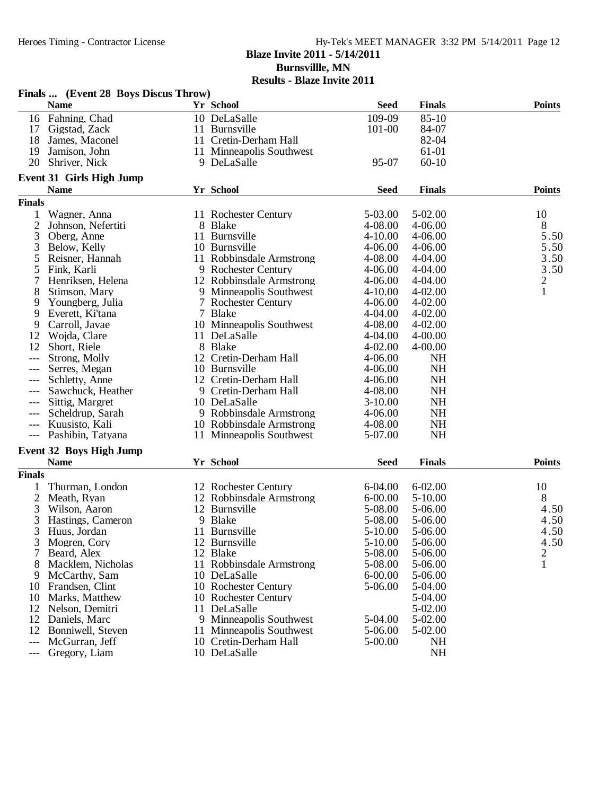### Heroes Timing - Contractor License Hy-Tek's MEET MANAGER 3:32 PM 5/14/2011 Page 12 **Blaze Invite 2011 - 5/14/2011**

**Burnsvillle, MN**

|                | Finals  (Event 28 Boys Discus Throw)    |                          |                    |               |                |
|----------------|-----------------------------------------|--------------------------|--------------------|---------------|----------------|
|                | <b>Name</b>                             | Yr School                | <b>Seed</b>        | <b>Finals</b> | <b>Points</b>  |
|                | 16 Fahning, Chad                        | 10 DeLaSalle             | 109-09             | $85 - 10$     |                |
| 17             | Gigstad, Zack                           | 11 Burnsville            | 101-00             | 84-07         |                |
| 18             | James, Maconel                          | 11 Cretin-Derham Hall    |                    | 82-04         |                |
| 19             | Jamison, John                           | 11 Minneapolis Southwest |                    | 61-01         |                |
| 20             | Shriver, Nick                           | 9 DeLaSalle              | 95-07              | $60-10$       |                |
|                |                                         |                          |                    |               |                |
|                | Event 31 Girls High Jump<br><b>Name</b> | Yr School                | <b>Seed</b>        | <b>Finals</b> | <b>Points</b>  |
| <b>Finals</b>  |                                         |                          |                    |               |                |
|                |                                         |                          |                    | 5-02.00       |                |
| 1              | Wagner, Anna                            | 11 Rochester Century     | 5-03.00            |               | 10             |
| $\overline{2}$ | Johnson, Nefertiti                      | 8 Blake                  | 4-08.00<br>4-10.00 | 4-06.00       | 8<br>5.50      |
| 3              | Oberg, Anne                             | 11 Burnsville            |                    | 4-06.00       |                |
| 3              | Below, Kelly                            | 10 Burnsville            | 4-06.00            | 4-06.00       | 5.50           |
| 5              | Reisner, Hannah                         | 11 Robbinsdale Armstrong | 4-08.00            | 4-04.00       | 3.50           |
| 5              | Fink, Karli                             | 9 Rochester Century      | 4-06.00            | 4-04.00       | 3.50           |
| 7              | Henriksen, Helena                       | 12 Robbinsdale Armstrong | $4 - 06.00$        | 4-04.00       | $\overline{c}$ |
| 8              | Stimson, Mary                           | 9 Minneapolis Southwest  | $4 - 10.00$        | 4-02.00       | $\mathbf{1}$   |
| 9              | Youngberg, Julia                        | 7 Rochester Century      | 4-06.00            | 4-02.00       |                |
| 9              | Everett, Ki'tana                        | 7 Blake                  | 4-04.00            | $4 - 02.00$   |                |
| 9              | Carroll, Javae                          | 10 Minneapolis Southwest | 4-08.00            | $4 - 02.00$   |                |
| 12             | Wojda, Clare                            | 11 DeLaSalle             | 4-04.00            | 4-00.00       |                |
| 12             | Short, Riele                            | 8 Blake                  | 4-02.00            | 4-00.00       |                |
| $---$          | Strong, Molly                           | 12 Cretin-Derham Hall    | 4-06.00            | <b>NH</b>     |                |
| $---$          | Serres, Megan                           | 10 Burnsville            | 4-06.00            | <b>NH</b>     |                |
| ---            | Schletty, Anne                          | 12 Cretin-Derham Hall    | 4-06.00            | <b>NH</b>     |                |
| ---            | Sawchuck, Heather                       | 9 Cretin-Derham Hall     | 4-08.00            | <b>NH</b>     |                |
| ---            | Sittig, Margret                         | 10 DeLaSalle             | $3-10.00$          | <b>NH</b>     |                |
|                | Scheldrup, Sarah                        | 9 Robbinsdale Armstrong  | $4 - 06.00$        | NH            |                |
| $---$          | Kuusisto, Kali                          | 10 Robbinsdale Armstrong | 4-08.00            | <b>NH</b>     |                |
| $---$          | Pashibin, Tatyana                       | 11 Minneapolis Southwest | 5-07.00            | NH            |                |
|                | <b>Event 32 Boys High Jump</b>          |                          |                    |               |                |
|                | <b>Name</b>                             | Yr School                | <b>Seed</b>        | <b>Finals</b> | <b>Points</b>  |
| <b>Finals</b>  |                                         |                          |                    |               |                |
|                | Thurman, London                         | 12 Rochester Century     | 6-04.00            | $6 - 02.00$   | 10             |
| $\overline{c}$ | Meath, Ryan                             | 12 Robbinsdale Armstrong | $6 - 00.00$        | $5-10.00$     | 8              |
|                | Wilson, Aaron                           | 12 Burnsville            | 5-08.00            | 5-06.00       | 4.50           |
| 3<br>3         |                                         | 9 Blake                  | 5-08.00            | 5-06.00       | 4.50           |
|                | Hastings, Cameron                       | 11 Burnsville            |                    |               |                |
| 3              | Huus, Jordan                            |                          | 5-10.00            | 5-06.00       | 4.50           |
| 3              | Mogren, Cory                            | 12 Burnsville            | 5-10.00            | 5-06.00       | 4.50           |
|                | Beard, Alex                             | 12 Blake                 | 5-08.00            | 5-06.00       | 2              |
| 8              | Macklem, Nicholas                       | 11 Robbinsdale Armstrong | 5-08.00            | 5-06.00       | 1              |
| 9              | McCarthy, Sam                           | 10 DeLaSalle             | $6 - 00.00$        | 5-06.00       |                |
| 10             | Frandsen, Clint                         | 10 Rochester Century     | 5-06.00            | 5-04.00       |                |
| 10             | Marks, Matthew                          | 10 Rochester Century     |                    | 5-04.00       |                |
| 12             | Nelson, Demitri                         | 11 DeLaSalle             |                    | 5-02.00       |                |
| 12             | Daniels, Marc                           | 9 Minneapolis Southwest  | 5-04.00            | 5-02.00       |                |
| 12             | Bonniwell, Steven                       | 11 Minneapolis Southwest | 5-06.00            | 5-02.00       |                |
| ---            | McGurran, Jeff                          | 10 Cretin-Derham Hall    | 5-00.00            | <b>NH</b>     |                |
| ---            | Gregory, Liam                           | 10 DeLaSalle             |                    | <b>NH</b>     |                |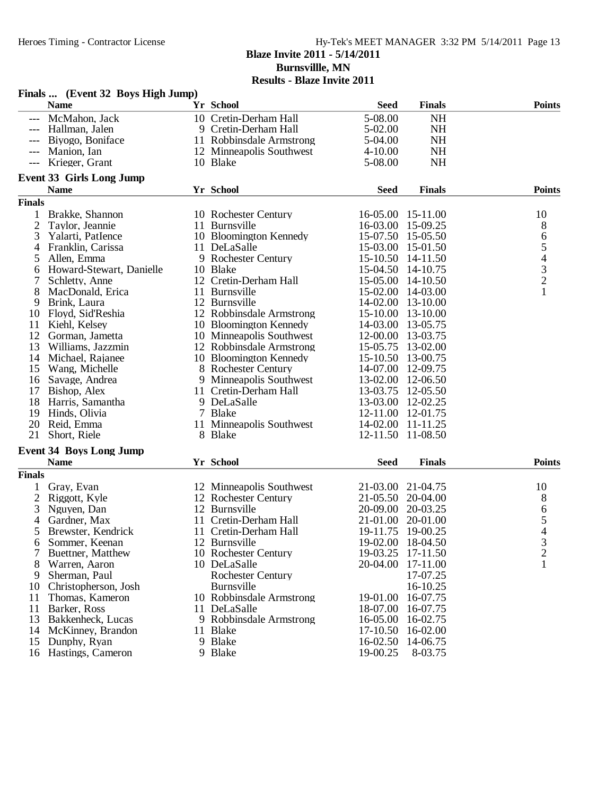### Heroes Timing - Contractor License Hy-Tek's MEET MANAGER 3:32 PM 5/14/2011 Page 13 **Blaze Invite 2011 - 5/14/2011 Burnsvillle, MN Results - Blaze Invite 2011**

|               | Finals  (Event 32 Boys High Jump) |                          |                   |                   |                                            |
|---------------|-----------------------------------|--------------------------|-------------------|-------------------|--------------------------------------------|
|               | <b>Name</b>                       | Yr School                | <b>Seed</b>       | <b>Finals</b>     | <b>Points</b>                              |
|               | McMahon, Jack                     | 10 Cretin-Derham Hall    | 5-08.00           | <b>NH</b>         |                                            |
| $---$         | Hallman, Jalen                    | 9 Cretin-Derham Hall     | 5-02.00           | <b>NH</b>         |                                            |
|               | Biyogo, Boniface                  | 11 Robbinsdale Armstrong | 5-04.00           | <b>NH</b>         |                                            |
|               | Manion, Ian                       | 12 Minneapolis Southwest | $4 - 10.00$       | NH                |                                            |
|               | Krieger, Grant                    | 10 Blake                 | 5-08.00           | <b>NH</b>         |                                            |
|               | Event 33 Girls Long Jump          |                          |                   |                   |                                            |
|               | <b>Name</b>                       | Yr School                | <b>Seed</b>       | <b>Finals</b>     | <b>Points</b>                              |
| <b>Finals</b> |                                   |                          |                   |                   |                                            |
| 1             | Brakke, Shannon                   | 10 Rochester Century     | 16-05.00          | 15-11.00          | 10                                         |
| 2             | Taylor, Jeannie                   | 11 Burnsville            | 16-03.00          | 15-09.25          | 8                                          |
| 3             | Yalarti, PatIence                 | 10 Bloomington Kennedy   | 15-07.50          | 15-05.50          | 6                                          |
| 4             | Franklin, Carissa                 | 11 DeLaSalle             | 15-03.00          | 15-01.50          | 5                                          |
| 5             | Allen, Emma                       | 9 Rochester Century      | $15 - 10.50$      | 14-11.50          |                                            |
| 6             | Howard-Stewart, Danielle          | 10 Blake                 | 15-04.50 14-10.75 |                   | $\begin{array}{c} 4 \\ 3 \\ 2 \end{array}$ |
| 7             | Schletty, Anne                    | 12 Cretin-Derham Hall    | 15-05.00 14-10.50 |                   |                                            |
| 8             | MacDonald, Erica                  | 11 Burnsville            | 15-02.00 14-03.00 |                   | $\mathbf{1}$                               |
| 9             | Brink, Laura                      | 12 Burnsville            | 14-02.00 13-10.00 |                   |                                            |
| 10            | Floyd, Sid'Reshia                 | 12 Robbinsdale Armstrong | 15-10.00 13-10.00 |                   |                                            |
| 11            | Kiehl, Kelsey                     | 10 Bloomington Kennedy   | 14-03.00 13-05.75 |                   |                                            |
| 12            | Gorman, Jametta                   | 10 Minneapolis Southwest | 12-00.00          | 13-03.75          |                                            |
| 13            | Williams, Jazzmin                 | 12 Robbinsdale Armstrong | 15-05.75          | 13-02.00          |                                            |
| 14            | Michael, Rajanee                  | 10 Bloomington Kennedy   | 15-10.50          | 13-00.75          |                                            |
| 15            | Wang, Michelle                    | 8 Rochester Century      | 14-07.00          | 12-09.75          |                                            |
| 16            | Savage, Andrea                    | 9 Minneapolis Southwest  | 13-02.00          | 12-06.50          |                                            |
| 17            | Bishop, Alex                      | 11 Cretin-Derham Hall    | 13-03.75          | 12-05.50          |                                            |
| 18            | Harris, Samantha                  | 9 DeLaSalle              | 13-03.00          | 12-02.25          |                                            |
| 19            | Hinds, Olivia                     | 7 Blake                  | 12-11.00 12-01.75 |                   |                                            |
| 20            | Reid, Emma                        | 11 Minneapolis Southwest | 14-02.00 11-11.25 |                   |                                            |
| 21            | Short, Riele                      | 8 Blake                  | 12-11.50 11-08.50 |                   |                                            |
|               | <b>Event 34 Boys Long Jump</b>    |                          |                   |                   |                                            |
|               | <b>Name</b>                       | Yr School                | <b>Seed</b>       | <b>Finals</b>     | <b>Points</b>                              |
| <b>Finals</b> |                                   |                          |                   |                   |                                            |
|               | Gray, Evan                        | 12 Minneapolis Southwest | 21-03.00          | 21-04.75          | 10                                         |
| 2             | Riggott, Kyle                     | 12 Rochester Century     | 21-05.50          | 20-04.00          | 8                                          |
| 3             | Nguyen, Dan                       | 12 Burnsville            | 20-09.00          | 20-03.25          | 6                                          |
| 4             | Gardner, Max                      | 11 Cretin-Derham Hall    | 21-01.00          | 20-01.00          | 5                                          |
| 5             | Brewster, Kendrick                | 11 Cretin-Derham Hall    | 19-11.75          | 19-00.25          | $\overline{4}$                             |
| 6             | Sommer, Keenan                    | 12 Burnsville            |                   | 19-02.00 18-04.50 | 3                                          |
|               | Buettner, Matthew                 | 10 Rochester Century     | 19-03.25          | 17-11.50          | $\overline{c}$                             |
| 8             | Warren, Aaron                     | 10 DeLaSalle             | 20-04.00          | 17-11.00          | 1                                          |
| 9             | Sherman, Paul                     | <b>Rochester Century</b> |                   | 17-07.25          |                                            |
| 10            | Christopherson, Josh              | Burnsville               |                   | 16-10.25          |                                            |
| 11            | Thomas, Kameron                   | 10 Robbinsdale Armstrong | 19-01.00          | 16-07.75          |                                            |
| 11            | Barker, Ross                      | 11 DeLaSalle             | 18-07.00          | 16-07.75          |                                            |
| 13            | Bakkenheck, Lucas                 | 9 Robbinsdale Armstrong  | 16-05.00          | 16-02.75          |                                            |
| 14            | McKinney, Brandon                 | 11 Blake                 | 17-10.50          | 16-02.00          |                                            |
| 15            | Dunphy, Ryan                      | 9 Blake                  | 16-02.50          | 14-06.75          |                                            |
|               | 16 Hastings, Cameron              | 9 Blake                  | 19-00.25          | 8-03.75           |                                            |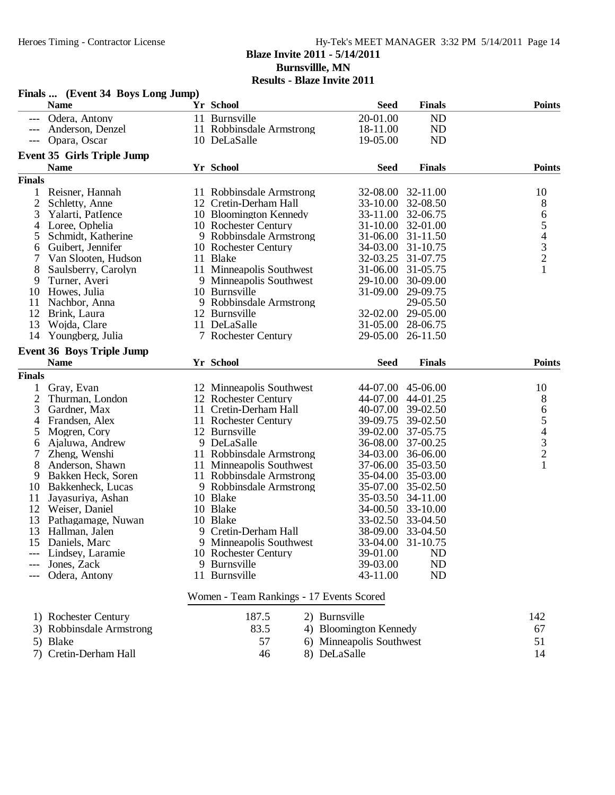## Heroes Timing - Contractor License Hy-Tek's MEET MANAGER 3:32 PM 5/14/2011 Page 14 **Blaze Invite 2011 - 5/14/2011 Burnsvillle, MN Results - Blaze Invite 2011**

|                     | г шав  (Етсперт доуз доне эчир)<br><b>Name</b> | Yr School                                     | <b>Seed</b>                   | <b>Finals</b>        | <b>Points</b>                                   |
|---------------------|------------------------------------------------|-----------------------------------------------|-------------------------------|----------------------|-------------------------------------------------|
|                     | Odera, Antony                                  | 11 Burnsville                                 | 20-01.00                      | N <sub>D</sub>       |                                                 |
|                     | Anderson, Denzel                               | 11 Robbinsdale Armstrong                      | 18-11.00                      | <b>ND</b>            |                                                 |
| $---$               | Opara, Oscar                                   | 10 DeLaSalle                                  | 19-05.00                      | <b>ND</b>            |                                                 |
|                     | <b>Event 35 Girls Triple Jump</b>              |                                               |                               |                      |                                                 |
|                     | <b>Name</b>                                    | Yr School                                     | <b>Seed</b>                   | <b>Finals</b>        | <b>Points</b>                                   |
| <b>Finals</b>       |                                                |                                               |                               |                      |                                                 |
| 1                   | Reisner, Hannah                                | 11 Robbinsdale Armstrong                      | 32-08.00                      | 32-11.00             | 10                                              |
| $\overline{2}$      | Schletty, Anne                                 | 12 Cretin-Derham Hall                         | 33-10.00                      | 32-08.50             | 8                                               |
| 3                   | Yalarti, PatIence                              | 10 Bloomington Kennedy                        | 33-11.00                      | 32-06.75             | 6                                               |
| 4                   | Loree, Ophelia                                 | 10 Rochester Century                          | $31 - 10.00$                  | 32-01.00             | $\begin{array}{c} 5 \\ 4 \\ 3 \\ 2 \end{array}$ |
| 5                   | Schmidt, Katherine                             | 9 Robbinsdale Armstrong                       | 31-06.00                      | 31-11.50             |                                                 |
| 6                   | Guibert, Jennifer                              | 10 Rochester Century                          | 34-03.00                      | 31-10.75             |                                                 |
| 7                   | Van Slooten, Hudson                            | 11 Blake                                      | 32-03.25                      | 31-07.75             | $\mathbf{1}$                                    |
| 8                   | Saulsberry, Carolyn                            | 11 Minneapolis Southwest                      | 31-06.00                      | 31-05.75             |                                                 |
| 9                   | Turner, Averi                                  | 9 Minneapolis Southwest                       | 29-10.00                      | 30-09.00             |                                                 |
| 10                  | Howes, Julia                                   | 10 Burnsville<br>9 Robbinsdale Armstrong      | 31-09.00                      | 29-09.75<br>29-05.50 |                                                 |
| 11<br>12            | Nachbor, Anna                                  | 12 Burnsville                                 | 32-02.00                      | 29-05.00             |                                                 |
| 13                  | Brink, Laura<br>Wojda, Clare                   | 11 DeLaSalle                                  | 31-05.00 28-06.75             |                      |                                                 |
| 14                  | Youngberg, Julia                               | 7 Rochester Century                           | 29-05.00                      | 26-11.50             |                                                 |
|                     |                                                |                                               |                               |                      |                                                 |
|                     | <b>Event 36 Boys Triple Jump</b>               |                                               |                               |                      |                                                 |
| <b>Finals</b>       | <b>Name</b>                                    | Yr School                                     | <b>Seed</b>                   | <b>Finals</b>        | <b>Points</b>                                   |
|                     |                                                |                                               |                               |                      |                                                 |
| 1                   | Gray, Evan                                     | 12 Minneapolis Southwest                      | 44-07.00                      | 45-06.00             | 10                                              |
| $\overline{c}$<br>3 | Thurman, London                                | 12 Rochester Century<br>11 Cretin-Derham Hall | 44-07.00                      | 44-01.25             | 8                                               |
|                     | Gardner, Max<br>Frandsen, Alex                 | 11 Rochester Century                          | 40-07.00 39-02.50<br>39-09.75 |                      | 6                                               |
| 4<br>5              | Mogren, Cory                                   | 12 Burnsville                                 | 39-02.00                      | 39-02.50<br>37-05.75 |                                                 |
| 6                   | Ajaluwa, Andrew                                | 9 DeLaSalle                                   | 36-08.00                      | 37-00.25             |                                                 |
| 7                   | Zheng, Wenshi                                  | 11 Robbinsdale Armstrong                      | 34-03.00 36-06.00             |                      | $\begin{array}{c} 5 \\ 4 \\ 3 \\ 2 \end{array}$ |
| 8                   | Anderson, Shawn                                | 11 Minneapolis Southwest                      | 37-06.00                      | 35-03.50             | $\mathbf{1}$                                    |
| 9                   | Bakken Heck, Soren                             | 11 Robbinsdale Armstrong                      | 35-04.00                      | 35-03.00             |                                                 |
| 10                  | Bakkenheck, Lucas                              | 9 Robbinsdale Armstrong                       | 35-07.00                      | 35-02.50             |                                                 |
| 11                  | Jayasuriya, Ashan                              | 10 Blake                                      | 35-03.50                      | 34-11.00             |                                                 |
| 12                  | Weiser, Daniel                                 | 10 Blake                                      | 34-00.50 33-10.00             |                      |                                                 |
| 13                  | Pathagamage, Nuwan                             | 10 Blake                                      | 33-02.50 33-04.50             |                      |                                                 |
| 13                  | Hallman, Jalen                                 | 9 Cretin-Derham Hall                          | 38-09.00 33-04.50             |                      |                                                 |
| 15                  | Daniels, Marc                                  | 9 Minneapolis Southwest                       | 33-04.00 31-10.75             |                      |                                                 |
|                     | Lindsey, Laramie                               | 10 Rochester Century                          | 39-01.00                      | ND                   |                                                 |
|                     | Jones, Zack                                    | 9 Burnsville                                  | 39-03.00                      | <b>ND</b>            |                                                 |
|                     | Odera, Antony                                  | 11 Burnsville                                 | 43-11.00                      | N <sub>D</sub>       |                                                 |
|                     |                                                | Women - Team Rankings - 17 Events Scored      |                               |                      |                                                 |
|                     | 1) Rochester Century                           | 187.5                                         | 2) Burnsville                 |                      | 142                                             |
|                     | 3) Robbinsdale Armstrong                       | 83.5                                          | 4) Bloomington Kennedy        |                      | 67                                              |
|                     | 5) Blake                                       | 57                                            | 6) Minneapolis Southwest      |                      | 51                                              |
|                     | 7) Cretin-Derham Hall                          | 46                                            | 8) DeLaSalle                  |                      | 14                                              |
|                     |                                                |                                               |                               |                      |                                                 |

# **Finals ... (Event 34 Boys Long Jump)**

7) Cretin-Derham Hall 46